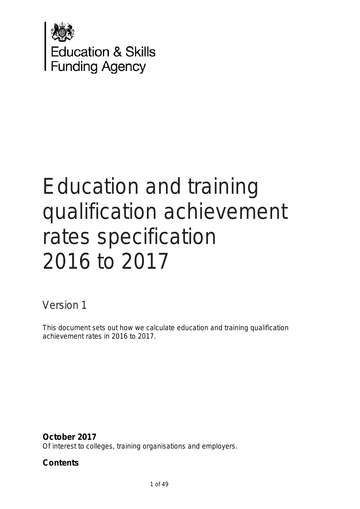

# Education and training qualification achievement rates specification 2016 to 2017

Version 1

This document sets out how we calculate education and training qualification achievement rates in 2016 to 2017.

**October 2017**

Of interest to colleges, training organisations and employers.

# **Contents**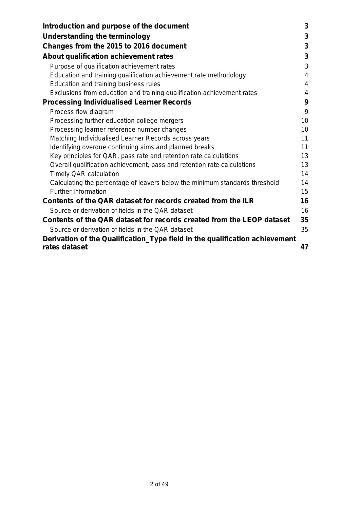| Introduction and purpose of the document                                    | 3  |
|-----------------------------------------------------------------------------|----|
| <b>Understanding the terminology</b>                                        | 3  |
| Changes from the 2015 to 2016 document                                      | 3  |
| About qualification achievement rates                                       | 3  |
| Purpose of qualification achievement rates                                  | 3  |
| Education and training qualification achievement rate methodology           | 4  |
| Education and training business rules                                       | 4  |
| Exclusions from education and training qualification achievement rates      | 4  |
| <b>Processing Individualised Learner Records</b>                            | 9  |
| Process flow diagram                                                        | 9  |
| Processing further education college mergers                                | 10 |
| Processing learner reference number changes                                 | 10 |
| Matching Individualised Learner Records across years                        | 11 |
| Identifying overdue continuing aims and planned breaks                      | 11 |
| Key principles for QAR, pass rate and retention rate calculations           | 13 |
| Overall qualification achievement, pass and retention rate calculations     | 13 |
| <b>Timely QAR calculation</b>                                               | 14 |
| Calculating the percentage of leavers below the minimum standards threshold | 14 |
| <b>Further Information</b>                                                  | 15 |
| Contents of the QAR dataset for records created from the ILR                | 16 |
| Source or derivation of fields in the QAR dataset                           | 16 |
| Contents of the QAR dataset for records created from the LEOP dataset       | 35 |
| Source or derivation of fields in the QAR dataset                           | 35 |
| Derivation of the Qualification_Type field in the qualification achievement |    |
| rates dataset                                                               | 47 |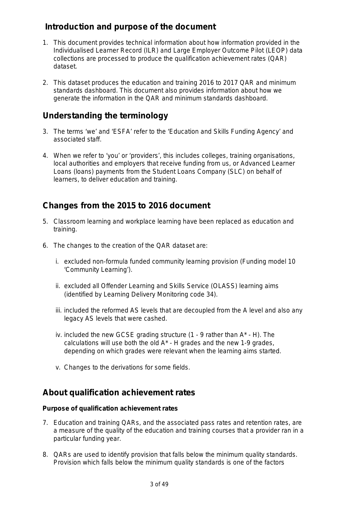# **Introduction and purpose of the document**

- 1. This document provides technical information about how information provided in the Individualised Learner Record (ILR) and Large Employer Outcome Pilot (LEOP) data collections are processed to produce the qualification achievement rates (QAR) dataset.
- 2. This dataset produces the education and training 2016 to 2017 QAR and minimum standards dashboard. This document also provides information about how we generate the information in the QAR and minimum standards dashboard.

# **Understanding the terminology**

- 3. The terms 'we' and 'ESFA' refer to the 'Education and Skills Funding Agency' and associated staff.
- 4. When we refer to 'you' or 'providers', this includes colleges, training organisations, local authorities and employers that receive funding from us, or Advanced Learner Loans (loans) payments from the Student Loans Company (SLC) on behalf of learners, to deliver education and training.

# **Changes from the 2015 to 2016 document**

- 5. Classroom learning and workplace learning have been replaced as education and training.
- 6. The changes to the creation of the QAR dataset are:
	- i. excluded non-formula funded community learning provision (Funding model 10 'Community Learning').
	- ii. excluded all Offender Learning and Skills Service (OLASS) learning aims (identified by Learning Delivery Monitoring code 34).
	- iii. included the reformed AS levels that are decoupled from the A level and also any legacy AS levels that were cashed.
	- iv. included the new GCSE grading structure (1 9 rather than A\* H). The calculations will use both the old A\* - H grades and the new 1-9 grades, depending on which grades were relevant when the learning aims started.
	- v. Changes to the derivations for some fields.

# **About qualification achievement rates**

#### **Purpose of qualification achievement rates**

- 7. Education and training QARs, and the associated pass rates and retention rates, are a measure of the quality of the education and training courses that a provider ran in a particular funding year.
- 8. QARs are used to identify provision that falls below the minimum quality standards. Provision which falls below the minimum quality standards is one of the factors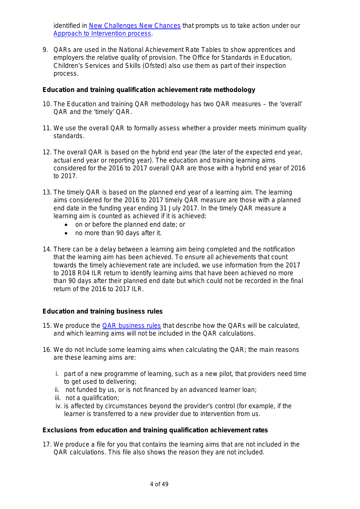identified in [New Challenges New Chances](https://www.gov.uk/government/uploads/system/uploads/attachment_data/file/248709/bis-13-1234-evaluation-of-new-challenges-new-chances-further-education-and-skills-reform-plan.pdf) that prompts us to take action under our [Approach to Intervention process.](https://www.gov.uk/guidance/16-to-19-education-accountability)

9. QARs are used in the National Achievement Rate Tables to show apprentices and employers the relative quality of provision. The Office for Standards in Education, Children's Services and Skills (Ofsted) also use them as part of their inspection process.

#### **Education and training qualification achievement rate methodology**

- 10. The Education and training QAR methodology has two QAR measures the 'overall' QAR and the 'timely' QAR.
- 11. We use the overall QAR to formally assess whether a provider meets minimum quality standards.
- 12. The overall QAR is based on the hybrid end year (the later of the expected end year, actual end year or reporting year). The education and training learning aims considered for the 2016 to 2017 overall QAR are those with a hybrid end year of 2016 to 2017.
- 13. The timely QAR is based on the planned end year of a learning aim. The learning aims considered for the 2016 to 2017 timely QAR measure are those with a planned end date in the funding year ending 31 July 2017. In the timely QAR measure a learning aim is counted as achieved if it is achieved:
	- on or before the planned end date; or
	- no more than 90 days after it.
- 14. There can be a delay between a learning aim being completed and the notification that the learning aim has been achieved. To ensure all achievements that count towards the timely achievement rate are included, we use information from the 2017 to 2018 R04 ILR return to identify learning aims that have been achieved no more than 90 days after their planned end date but which could not be recorded in the final return of the 2016 to 2017 ILR.

#### **Education and training business rules**

- 15. We produce the [QAR business rules](https://www.gov.uk/government/uploads/system/uploads/attachment_data/file/570802/SFA-business_rules_for_QAR_201617-November2016.pdf) that describe how the QARs will be calculated, and which learning aims will not be included in the QAR calculations.
- 16. We do not include some learning aims when calculating the QAR; the main reasons are these learning aims are:
	- i. part of a new programme of learning, such as a new pilot, that providers need time to get used to delivering;
	- ii. not funded by us, or is not financed by an advanced learner loan;
	- iii. not a qualification;
	- iv. is affected by circumstances beyond the provider's control (for example, if the learner is transferred to a new provider due to intervention from us.

#### **Exclusions from education and training qualification achievement rates**

17. We produce a file for you that contains the learning aims that are not included in the QAR calculations. This file also shows the reason they are not included.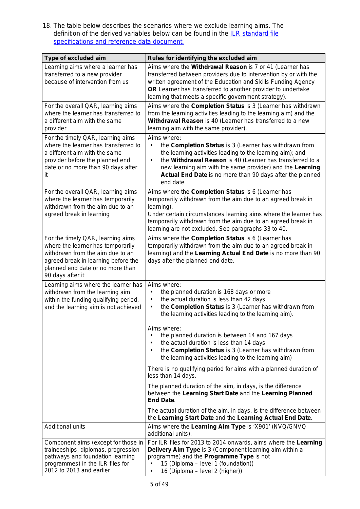<span id="page-4-0"></span>18. The table below describes the scenarios where we exclude learning aims. The definition of the derived variables below can be found in the **ILR** standard file [specifications and reference data document.](https://www.gov.uk/government/publications/sfa-ilr-standard-file-specifications-and-reference-data)

| Type of excluded aim                                                                                                                                                                                      | Rules for identifying the excluded aim                                                                                                                                                                                                                                                                                                                          |  |  |  |
|-----------------------------------------------------------------------------------------------------------------------------------------------------------------------------------------------------------|-----------------------------------------------------------------------------------------------------------------------------------------------------------------------------------------------------------------------------------------------------------------------------------------------------------------------------------------------------------------|--|--|--|
| Learning aims where a learner has<br>transferred to a new provider<br>because of intervention from us                                                                                                     | Aims where the Withdrawal Reason is 7 or 41 (Learner has<br>transferred between providers due to intervention by or with the<br>written agreement of the Education and Skills Funding Agency<br>OR Learner has transferred to another provider to undertake<br>learning that meets a specific government strategy).                                             |  |  |  |
| For the overall QAR, learning aims<br>where the learner has transferred to<br>a different aim with the same<br>provider                                                                                   | Aims where the Completion Status is 3 (Learner has withdrawn<br>from the learning activities leading to the learning aim) and the<br>Withdrawal Reason is 40 (Learner has transferred to a new<br>learning aim with the same provider).                                                                                                                         |  |  |  |
| For the timely QAR, learning aims<br>where the learner has transferred to<br>a different aim with the same<br>provider before the planned end<br>date or no more than 90 days after<br>it.                | Aims where:<br>the Completion Status is 3 (Learner has withdrawn from<br>$\bullet$<br>the learning activities leading to the learning aim); and<br>$\bullet$<br>the Withdrawal Reason is 40 (Learner has transferred to a<br>new learning aim with the same provider) and the Learning<br>Actual End Date is no more than 90 days after the planned<br>end date |  |  |  |
| For the overall QAR, learning aims<br>where the learner has temporarily<br>withdrawn from the aim due to an<br>agreed break in learning                                                                   | Aims where the Completion Status is 6 (Learner has<br>temporarily withdrawn from the aim due to an agreed break in<br>learning).<br>Under certain circumstances learning aims where the learner has<br>temporarily withdrawn from the aim due to an agreed break in<br>learning are not excluded. See paragraphs 33 to 40.                                      |  |  |  |
| For the timely QAR, learning aims<br>where the learner has temporarily<br>withdrawn from the aim due to an<br>agreed break in learning before the<br>planned end date or no more than<br>90 days after it | Aims where the Completion Status is 6 (Learner has<br>temporarily withdrawn from the aim due to an agreed break in<br>learning) and the Learning Actual End Date is no more than 90<br>days after the planned end date.                                                                                                                                         |  |  |  |
| Learning aims where the learner has<br>withdrawn from the learning aim<br>within the funding qualifying period,<br>and the learning aim is not achieved                                                   | Aims where:<br>the planned duration is 168 days or more<br>the actual duration is less than 42 days<br>$\bullet$<br>the Completion Status is 3 (Learner has withdrawn from<br>$\bullet$<br>the learning activities leading to the learning aim).                                                                                                                |  |  |  |
|                                                                                                                                                                                                           | Aims where:<br>the planned duration is between 14 and 167 days<br>the actual duration is less than 14 days<br>$\bullet$<br>the Completion Status is 3 (Learner has withdrawn from<br>$\bullet$<br>the learning activities leading to the learning aim)                                                                                                          |  |  |  |
|                                                                                                                                                                                                           | There is no qualifying period for aims with a planned duration of<br>less than 14 days.                                                                                                                                                                                                                                                                         |  |  |  |
|                                                                                                                                                                                                           | The planned duration of the aim, in days, is the difference<br>between the Learning Start Date and the Learning Planned<br><b>End Date.</b>                                                                                                                                                                                                                     |  |  |  |
|                                                                                                                                                                                                           | The actual duration of the aim, in days, is the difference between<br>the Learning Start Date and the Learning Actual End Date.                                                                                                                                                                                                                                 |  |  |  |
| <b>Additional units</b>                                                                                                                                                                                   | Aims where the Learning Aim Type is 'X901' (NVQ/GNVQ<br>additional units).                                                                                                                                                                                                                                                                                      |  |  |  |
| Component aims (except for those in<br>traineeships, diplomas, progression<br>pathways and foundation learning<br>programmes) in the ILR files for<br>2012 to 2013 and earlier                            | For ILR files for 2013 to 2014 onwards, aims where the Learning<br>Delivery Aim Type is 3 (Component learning aim within a<br>programme) and the Programme Type is not<br>15 (Diploma - level 1 (foundation))<br>16 (Diploma - level 2 (higher))<br>$\bullet$                                                                                                   |  |  |  |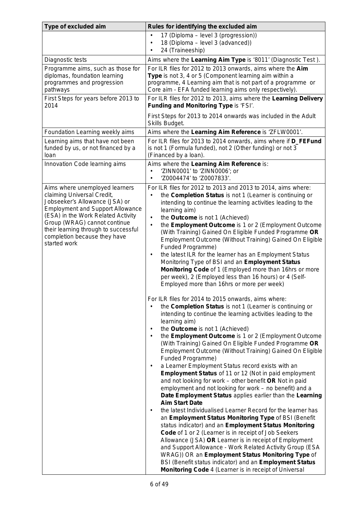| Type of excluded aim                                                                                                                                                                                                                                                                                    | Rules for identifying the excluded aim                                                                                                                                                                                                                                                                                                                                                                                                                                                                                                                                                                                                                                                                                                                                                                                                                                                                                                                                                                                                                                                                                                                                                                                                                                                                                                                                                                                                                                                                                                                                                                                                                                                                                                                                                                                                                                                                                                                                                                                                                                                                                                            |  |  |  |
|---------------------------------------------------------------------------------------------------------------------------------------------------------------------------------------------------------------------------------------------------------------------------------------------------------|---------------------------------------------------------------------------------------------------------------------------------------------------------------------------------------------------------------------------------------------------------------------------------------------------------------------------------------------------------------------------------------------------------------------------------------------------------------------------------------------------------------------------------------------------------------------------------------------------------------------------------------------------------------------------------------------------------------------------------------------------------------------------------------------------------------------------------------------------------------------------------------------------------------------------------------------------------------------------------------------------------------------------------------------------------------------------------------------------------------------------------------------------------------------------------------------------------------------------------------------------------------------------------------------------------------------------------------------------------------------------------------------------------------------------------------------------------------------------------------------------------------------------------------------------------------------------------------------------------------------------------------------------------------------------------------------------------------------------------------------------------------------------------------------------------------------------------------------------------------------------------------------------------------------------------------------------------------------------------------------------------------------------------------------------------------------------------------------------------------------------------------------------|--|--|--|
|                                                                                                                                                                                                                                                                                                         | 17 (Diploma - level 3 (progression))<br>$\bullet$<br>18 (Diploma - level 3 (advanced))<br>$\bullet$<br>24 (Traineeship)                                                                                                                                                                                                                                                                                                                                                                                                                                                                                                                                                                                                                                                                                                                                                                                                                                                                                                                                                                                                                                                                                                                                                                                                                                                                                                                                                                                                                                                                                                                                                                                                                                                                                                                                                                                                                                                                                                                                                                                                                           |  |  |  |
| Diagnostic tests                                                                                                                                                                                                                                                                                        | Aims where the Learning Aim Type is '8011' (Diagnostic Test).                                                                                                                                                                                                                                                                                                                                                                                                                                                                                                                                                                                                                                                                                                                                                                                                                                                                                                                                                                                                                                                                                                                                                                                                                                                                                                                                                                                                                                                                                                                                                                                                                                                                                                                                                                                                                                                                                                                                                                                                                                                                                     |  |  |  |
| Programme aims, such as those for<br>diplomas, foundation learning<br>programmes and progression<br>pathways                                                                                                                                                                                            | For ILR files for 2012 to 2013 onwards, aims where the Aim<br>Type is not 3, 4 or 5 (Component learning aim within a<br>programme, 4 Learning aim that is not part of a programme or<br>Core aim - EFA funded learning aims only respectively).                                                                                                                                                                                                                                                                                                                                                                                                                                                                                                                                                                                                                                                                                                                                                                                                                                                                                                                                                                                                                                                                                                                                                                                                                                                                                                                                                                                                                                                                                                                                                                                                                                                                                                                                                                                                                                                                                                   |  |  |  |
| First Steps for years before 2013 to<br>2014                                                                                                                                                                                                                                                            | For ILR files for 2012 to 2013, aims where the Learning Delivery<br>Funding and Monitoring Type is 'FSI'.                                                                                                                                                                                                                                                                                                                                                                                                                                                                                                                                                                                                                                                                                                                                                                                                                                                                                                                                                                                                                                                                                                                                                                                                                                                                                                                                                                                                                                                                                                                                                                                                                                                                                                                                                                                                                                                                                                                                                                                                                                         |  |  |  |
|                                                                                                                                                                                                                                                                                                         | First Steps for 2013 to 2014 onwards was included in the Adult<br>Skills Budget.                                                                                                                                                                                                                                                                                                                                                                                                                                                                                                                                                                                                                                                                                                                                                                                                                                                                                                                                                                                                                                                                                                                                                                                                                                                                                                                                                                                                                                                                                                                                                                                                                                                                                                                                                                                                                                                                                                                                                                                                                                                                  |  |  |  |
| Foundation Learning weekly aims                                                                                                                                                                                                                                                                         | Aims where the Learning Aim Reference is 'ZFLW0001'.                                                                                                                                                                                                                                                                                                                                                                                                                                                                                                                                                                                                                                                                                                                                                                                                                                                                                                                                                                                                                                                                                                                                                                                                                                                                                                                                                                                                                                                                                                                                                                                                                                                                                                                                                                                                                                                                                                                                                                                                                                                                                              |  |  |  |
| Learning aims that have not been<br>funded by us, or not financed by a<br>loan                                                                                                                                                                                                                          | For ILR files for 2013 to 2014 onwards, aims where if D_FEFund<br>is not 1 (Formula funded), not 2 (Other funding) or not 3<br>(Financed by a loan).                                                                                                                                                                                                                                                                                                                                                                                                                                                                                                                                                                                                                                                                                                                                                                                                                                                                                                                                                                                                                                                                                                                                                                                                                                                                                                                                                                                                                                                                                                                                                                                                                                                                                                                                                                                                                                                                                                                                                                                              |  |  |  |
| Innovation Code learning aims                                                                                                                                                                                                                                                                           | Aims where the Learning Aim Reference is:<br>'ZINN0001' to 'ZINN0006'; or<br>'Z0004474' to 'Z0007833'.<br>٠                                                                                                                                                                                                                                                                                                                                                                                                                                                                                                                                                                                                                                                                                                                                                                                                                                                                                                                                                                                                                                                                                                                                                                                                                                                                                                                                                                                                                                                                                                                                                                                                                                                                                                                                                                                                                                                                                                                                                                                                                                       |  |  |  |
| Aims where unemployed learners<br>claiming Universal Credit,<br>Jobseeker's Allowance (JSA) or<br><b>Employment and Support Allowance</b><br>(ESA) in the Work Related Activity<br>Group (WRAG) cannot continue<br>their learning through to successful<br>completion because they have<br>started work | For ILR files for 2012 to 2013 and 2013 to 2014, aims where:<br>the Completion Status is not 1 (Learner is continuing or<br>$\bullet$<br>intending to continue the learning activities leading to the<br>learning aim)<br>the Outcome is not 1 (Achieved)<br>$\bullet$<br>the Employment Outcome is 1 or 2 (Employment Outcome<br>$\bullet$<br>(With Training) Gained On Eligible Funded Programme OR<br>Employment Outcome (Without Training) Gained On Eligible<br>Funded Programme)<br>the latest ILR for the learner has an Employment Status<br>$\bullet$<br>Monitoring Type of BSI and an Employment Status<br>Monitoring Code of 1 (Employed more than 16hrs or more<br>per week), 2 (Employed less than 16 hours) or 4 (Self-<br>Employed more than 16hrs or more per week)<br>For ILR files for 2014 to 2015 onwards, aims where:<br>the Completion Status is not 1 (Learner is continuing or<br>intending to continue the learning activities leading to the<br>learning aim)<br>the Outcome is not 1 (Achieved)<br>$\bullet$<br>the Employment Outcome is 1 or 2 (Employment Outcome<br>$\bullet$<br>(With Training) Gained On Eligible Funded Programme OR<br>Employment Outcome (Without Training) Gained On Eligible<br>Funded Programme)<br>a Learner Employment Status record exists with an<br>$\bullet$<br><b>Employment Status of 11 or 12 (Not in paid employment</b><br>and not looking for work - other benefit OR Not in paid<br>employment and not looking for work - no benefit) and a<br>Date Employment Status applies earlier than the Learning<br><b>Aim Start Date</b><br>the latest Individualised Learner Record for the learner has<br>٠<br>an Employment Status Monitoring Type of BSI (Benefit<br>status indicator) and an Employment Status Monitoring<br>Code of 1 or 2 (Learner is in receipt of Job Seekers<br>Allowance (JSA) OR Learner is in receipt of Employment<br>and Support Allowance - Work Related Activity Group (ESA<br>WRAG)) OR an Employment Status Monitoring Type of<br>BSI (Benefit status indicator) and an Employment Status<br>Monitoring Code 4 (Learner is in receipt of Universal |  |  |  |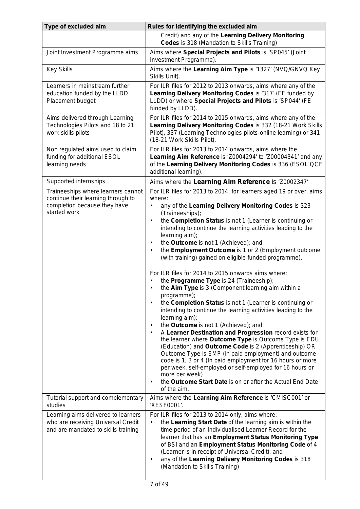| Type of excluded aim                                                                                                     | Rules for identifying the excluded aim                                                                                                                                                                                                                                                                                                                                                                                                                                                                                                                                                                                                                                                                                                                                                                                                                     |
|--------------------------------------------------------------------------------------------------------------------------|------------------------------------------------------------------------------------------------------------------------------------------------------------------------------------------------------------------------------------------------------------------------------------------------------------------------------------------------------------------------------------------------------------------------------------------------------------------------------------------------------------------------------------------------------------------------------------------------------------------------------------------------------------------------------------------------------------------------------------------------------------------------------------------------------------------------------------------------------------|
|                                                                                                                          | Credit) and any of the Learning Delivery Monitoring<br><b>Codes</b> is 318 (Mandation to Skills Training)                                                                                                                                                                                                                                                                                                                                                                                                                                                                                                                                                                                                                                                                                                                                                  |
| Joint Investment Programme aims                                                                                          | Aims where Special Projects and Pilots is 'SP045' (Joint<br>Investment Programme).                                                                                                                                                                                                                                                                                                                                                                                                                                                                                                                                                                                                                                                                                                                                                                         |
| <b>Key Skills</b>                                                                                                        | Aims where the Learning Aim Type is '1327' (NVQ/GNVQ Key<br>Skills Unit).                                                                                                                                                                                                                                                                                                                                                                                                                                                                                                                                                                                                                                                                                                                                                                                  |
| Learners in mainstream further<br>education funded by the LLDD<br>Placement budget                                       | For ILR files for 2012 to 2013 onwards, aims where any of the<br>Learning Delivery Monitoring Codes is '317' (FE funded by<br>LLDD) or where Special Projects and Pilots is 'SP044' (FE<br>funded by LLDD).                                                                                                                                                                                                                                                                                                                                                                                                                                                                                                                                                                                                                                                |
| Aims delivered through Learning<br>Technologies Pilots and 18 to 21<br>work skills pilots                                | For ILR files for 2014 to 2015 onwards, aims where any of the<br>Learning Delivery Monitoring Codes is 332 (18-21 Work Skills<br>Pilot), 337 (Learning Technologies pilots-online learning) or 341<br>(18-21 Work Skills Pilot).                                                                                                                                                                                                                                                                                                                                                                                                                                                                                                                                                                                                                           |
| Non regulated aims used to claim<br>funding for additional ESOL<br>learning needs                                        | For ILR files for 2013 to 2014 onwards, aims where the<br>Learning Aim Reference is 'Z0004294' to 'Z00004341' and any<br>of the Learning Delivery Monitoring Codes is 336 (ESOL QCF<br>additional learning).                                                                                                                                                                                                                                                                                                                                                                                                                                                                                                                                                                                                                                               |
| Supported internships                                                                                                    | Aims where the Learning Aim Reference is 'Z0002347'                                                                                                                                                                                                                                                                                                                                                                                                                                                                                                                                                                                                                                                                                                                                                                                                        |
| Traineeships where learners cannot<br>continue their learning through to<br>completion because they have<br>started work | For ILR files for 2013 to 2014, for learners aged 19 or over, aims<br>where:<br>any of the Learning Delivery Monitoring Codes is 323<br>٠<br>(Traineeships);<br>the Completion Status is not 1 (Learner is continuing or<br>$\bullet$<br>intending to continue the learning activities leading to the                                                                                                                                                                                                                                                                                                                                                                                                                                                                                                                                                      |
|                                                                                                                          | learning aim);<br>the Outcome is not 1 (Achieved); and<br>the Employment Outcome is 1 or 2 (Employment outcome<br>$\bullet$<br>(with training) gained on eligible funded programme).                                                                                                                                                                                                                                                                                                                                                                                                                                                                                                                                                                                                                                                                       |
|                                                                                                                          | For ILR files for 2014 to 2015 onwards aims where:<br>the Programme Type is 24 (Traineeship);<br>the Aim Type is 3 (Component learning aim within a<br>programme);<br>the Completion Status is not 1 (Learner is continuing or<br>$\bullet$<br>intending to continue the learning activities leading to the<br>learning aim);<br>the Outcome is not 1 (Achieved); and<br>$\bullet$<br>A Learner Destination and Progression record exists for<br>$\bullet$<br>the learner where Outcome Type is Outcome Type is EDU<br>(Education) and Outcome Code is 2 (Apprenticeship) OR<br>Outcome Type is EMP (in paid employment) and outcome<br>code is 1, 3 or 4 (In paid employment for 16 hours or more<br>per week, self-employed or self-employed for 16 hours or<br>more per week)<br>the Outcome Start Date is on or after the Actual End Date<br>$\bullet$ |
| Tutorial support and complementary                                                                                       | of the aim.<br>Aims where the Learning Aim Reference is 'CMISC001' or                                                                                                                                                                                                                                                                                                                                                                                                                                                                                                                                                                                                                                                                                                                                                                                      |
| studies                                                                                                                  | 'XESF0001'.                                                                                                                                                                                                                                                                                                                                                                                                                                                                                                                                                                                                                                                                                                                                                                                                                                                |
| Learning aims delivered to learners<br>who are receiving Universal Credit<br>and are mandated to skills training         | For ILR files for 2013 to 2014 only, aims where:<br>the Learning Start Date of the learning aim is within the<br>time period of an Individualised Learner Record for the<br>learner that has an Employment Status Monitoring Type<br>of BSI and an Employment Status Monitoring Code of 4<br>(Learner is in receipt of Universal Credit); and<br>any of the Learning Delivery Monitoring Codes is 318<br>$\bullet$<br>(Mandation to Skills Training)                                                                                                                                                                                                                                                                                                                                                                                                       |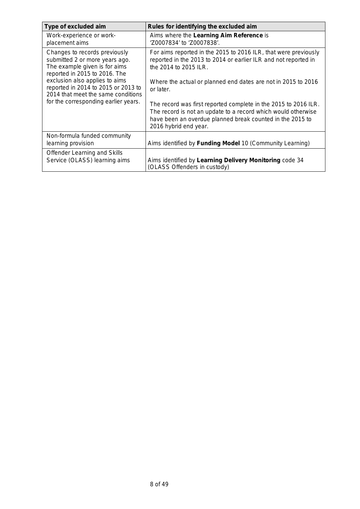| Type of excluded aim                                                                                                                                | Rules for identifying the excluded aim                                                                                                                                                                                 |
|-----------------------------------------------------------------------------------------------------------------------------------------------------|------------------------------------------------------------------------------------------------------------------------------------------------------------------------------------------------------------------------|
| Work-experience or work-<br>placement aims                                                                                                          | Aims where the Learning Aim Reference is<br>'Z0007834' to 'Z0007838'.                                                                                                                                                  |
| Changes to records previously<br>submitted 2 or more years ago.<br>The example given is for aims<br>reported in 2015 to 2016. The                   | For aims reported in the 2015 to 2016 ILR, that were previously<br>reported in the 2013 to 2014 or earlier ILR and not reported in<br>the 2014 to 2015 ILR.                                                            |
| exclusion also applies to aims<br>reported in 2014 to 2015 or 2013 to<br>2014 that meet the same conditions<br>for the corresponding earlier years. | Where the actual or planned end dates are not in 2015 to 2016<br>or later.                                                                                                                                             |
|                                                                                                                                                     | The record was first reported complete in the 2015 to 2016 ILR.<br>The record is not an update to a record which would otherwise<br>have been an overdue planned break counted in the 2015 to<br>2016 hybrid end year. |
| Non-formula funded community<br>learning provision                                                                                                  | Aims identified by Funding Model 10 (Community Learning)                                                                                                                                                               |
| Offender Learning and Skills<br>Service (OLASS) learning aims                                                                                       | Aims identified by Learning Delivery Monitoring code 34<br>(OLASS Offenders in custody)                                                                                                                                |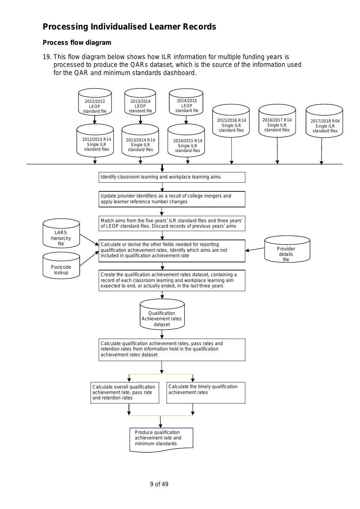# **Processing Individualised Learner Records**

## **Process flow diagram**

19. This flow diagram below shows how ILR information for multiple funding years is processed to produce the QARs dataset, which is the source of the information used for the QAR and minimum standards dashboard.

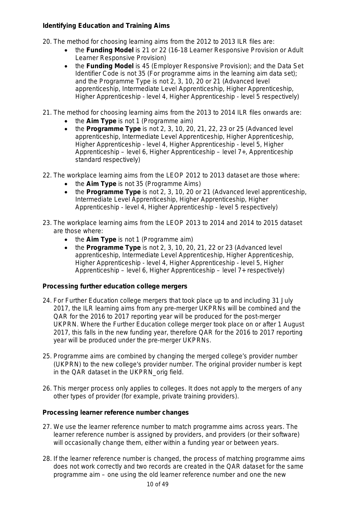## **Identifying Education and Training Aims**

- 20. The method for choosing learning aims from the 2012 to 2013 ILR files are:
	- the **Funding Model** is 21 or 22 (16-18 Learner Responsive Provision or Adult Learner Responsive Provision)
	- the **Funding Model** is 45 (Employer Responsive Provision); and the Data Set Identifier Code is not 35 (For programme aims in the learning aim data set); and the Programme Type is not 2, 3, 10, 20 or 21 (Advanced level apprenticeship, Intermediate Level Apprenticeship, Higher Apprenticeship, Higher Apprenticeship - level 4, Higher Apprenticeship - level 5 respectively)
- 21. The method for choosing learning aims from the 2013 to 2014 ILR files onwards are:
	- the **Aim Type** is not 1 (Programme aim)
	- the **Programme Type** is not 2, 3, 10, 20, 21, 22, 23 or 25 (Advanced level apprenticeship, Intermediate Level Apprenticeship, Higher Apprenticeship, Higher Apprenticeship - level 4, Higher Apprenticeship - level 5, Higher Apprenticeship – level 6, Higher Apprenticeship – level 7+, Apprenticeship standard respectively)
- <span id="page-9-1"></span>22. The workplace learning aims from the LEOP 2012 to 2013 dataset are those where:
	- the **Aim Type** is not 35 (Programme Aims)
	- the **Programme Type** is not 2, 3, 10, 20 or 21 (Advanced level apprenticeship, Intermediate Level Apprenticeship, Higher Apprenticeship, Higher Apprenticeship - level 4, Higher Apprenticeship - level 5 respectively)
- <span id="page-9-2"></span>23. The workplace learning aims from the LEOP 2013 to 2014 and 2014 to 2015 dataset are those where:
	- the **Aim Type** is not 1 (Programme aim)
	- the **Programme Type** is not 2, 3, 10, 20, 21, 22 or 23 (Advanced level apprenticeship, Intermediate Level Apprenticeship, Higher Apprenticeship, Higher Apprenticeship - level 4, Higher Apprenticeship - level 5, Higher Apprenticeship – level 6, Higher Apprenticeship – level 7+ respectively)

#### <span id="page-9-0"></span>**Processing further education college mergers**

- 24. For Further Education college mergers that took place up to and including 31 July 2017, the ILR learning aims from any pre-merger UKPRNs will be combined and the QAR for the 2016 to 2017 reporting year will be produced for the post-merger UKPRN. Where the Further Education college merger took place on or after 1 August 2017, this falls in the new funding year, therefore QAR for the 2016 to 2017 reporting year will be produced under the pre-merger UKPRNs.
- 25. Programme aims are combined by changing the merged college's provider number (UKPRN) to the new college's provider number. The original provider number is kept in the QAR dataset in the UKPRN\_orig field.
- 26. This merger process only applies to colleges. It does not apply to the mergers of any other types of provider (for example, private training providers).

#### **Processing learner reference number changes**

- 27. We use the learner reference number to match programme aims across years. The learner reference number is assigned by providers, and providers (or their software) will occasionally change them, either within a funding year or between years.
- 28. If the learner reference number is changed, the process of matching programme aims does not work correctly and two records are created in the QAR dataset for the same programme aim – one using the old learner reference number and one the new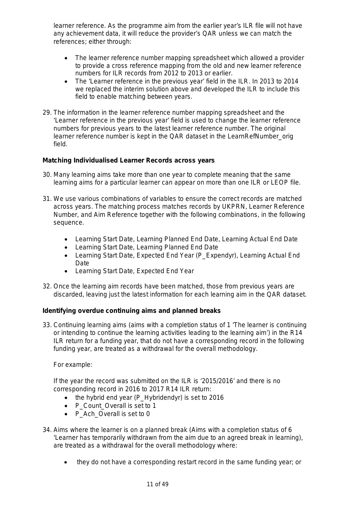<span id="page-10-1"></span>learner reference. As the programme aim from the earlier year's ILR file will not have any achievement data, it will reduce the provider's QAR unless we can match the references; either through:

- The learner reference number mapping spreadsheet which allowed a provider to provide a cross reference mapping from the old and new learner reference numbers for ILR records from 2012 to 2013 or earlier.
- The 'Learner reference in the previous year' field in the ILR. In 2013 to 2014 we replaced the interim solution above and developed the ILR to include this field to enable matching between years.
- 29. The information in the learner reference number mapping spreadsheet and the 'Learner reference in the previous year' field is used to change the learner reference numbers for previous years to the latest learner reference number. The original learner reference number is kept in the QAR dataset in the LearnRefNumber orig field.

## **Matching Individualised Learner Records across years**

- <span id="page-10-2"></span>30. Many learning aims take more than one year to complete meaning that the same learning aims for a particular learner can appear on more than one ILR or LEOP file.
- 31. We use various combinations of variables to ensure the correct records are matched across years. The matching process matches records by UKPRN, Learner Reference Number, and Aim Reference together with the following combinations, in the following sequence.
	- Learning Start Date, Learning Planned End Date, Learning Actual End Date
	- Learning Start Date, Learning Planned End Date
	- Learning Start Date, Expected End Year (P\_Expendyr), Learning Actual End Date
	- Learning Start Date, Expected End Year
- <span id="page-10-3"></span>32. Once the learning aim records have been matched, those from previous years are discarded, leaving just the latest information for each learning aim in the QAR dataset.

#### **Identifying overdue continuing aims and planned breaks**

<span id="page-10-0"></span>33. Continuing learning aims (aims with a completion status of 1 'The learner is continuing or intending to continue the learning activities leading to the learning aim') in the R14 ILR return for a funding year, that do not have a corresponding record in the following funding year, are treated as a withdrawal for the overall methodology.

#### For example:

If the year the record was submitted on the ILR is '2015/2016' and there is no corresponding record in 2016 to 2017 R14 ILR return:

- the hybrid end year (P\_Hybridendyr) is set to 2016
- P Count Overall is set to 1
- P\_Ach\_Overall is set to 0
- 34. Aims where the learner is on a planned break (Aims with a completion status of 6 'Learner has temporarily withdrawn from the aim due to an agreed break in learning), are treated as a withdrawal for the overall methodology where:
	- they do not have a corresponding restart record in the same funding year; or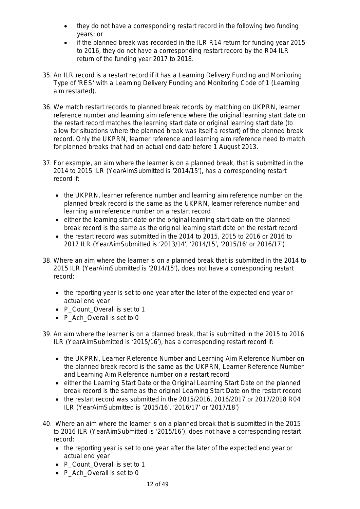- <span id="page-11-2"></span>• they do not have a corresponding restart record in the following two funding years; or
- if the planned break was recorded in the ILR R14 return for funding year 2015 to 2016, they do not have a corresponding restart record by the R04 ILR return of the funding year 2017 to 2018.
- 35. An ILR record is a restart record if it has a Learning Delivery Funding and Monitoring Type of 'RES' with a Learning Delivery Funding and Monitoring Code of 1 (Learning aim restarted).
- 36. We match restart records to planned break records by matching on UKPRN, learner reference number and learning aim reference where the original learning start date on the restart record matches the learning start date or original learning start date (to allow for situations where the planned break was itself a restart) of the planned break record. Only the UKPRN, learner reference and learning aim reference need to match for planned breaks that had an actual end date before 1 August 2013.
- 37. For example, an aim where the learner is on a planned break, that is submitted in the 2014 to 2015 ILR (YearAimSubmitted is '2014/15'), has a corresponding restart record if:
	- the UKPRN, learner reference number and learning aim reference number on the planned break record is the same as the UKPRN, learner reference number and learning aim reference number on a restart record
	- either the learning start date or the original learning start date on the planned break record is the same as the original learning start date on the restart record
	- the restart record was submitted in the 2014 to 2015, 2015 to 2016 or 2016 to 2017 ILR (YearAimSubmitted is '2013/14', '2014/15', '2015/16' or 2016/17')
- <span id="page-11-1"></span>38. Where an aim where the learner is on a planned break that is submitted in the 2014 to 2015 ILR (YearAimSubmitted is '2014/15'), does not have a corresponding restart record:
	- the reporting year is set to one year after the later of the expected end year or actual end year
	- P Count Overall is set to 1
	- P\_Ach\_Overall is set to 0
- 39. An aim where the learner is on a planned break, that is submitted in the 2015 to 2016 ILR (YearAimSubmitted is '2015/16'), has a corresponding restart record if:
	- the UKPRN, Learner Reference Number and Learning Aim Reference Number on the planned break record is the same as the UKPRN, Learner Reference Number and Learning Aim Reference number on a restart record
	- either the Learning Start Date or the Original Learning Start Date on the planned break record is the same as the original Learning Start Date on the restart record
	- the restart record was submitted in the 2015/2016, 2016/2017 or 2017/2018 R04 ILR (YearAimSubmitted is '2015/16', '2016/17' or '2017/18')
- <span id="page-11-0"></span>40. Where an aim where the learner is on a planned break that is submitted in the 2015 to 2016 ILR (YearAimSubmitted is '2015/16'), does not have a corresponding restart record:
	- the reporting year is set to one year after the later of the expected end year or actual end year
	- P\_Count\_Overall is set to 1
	- P Ach Overall is set to 0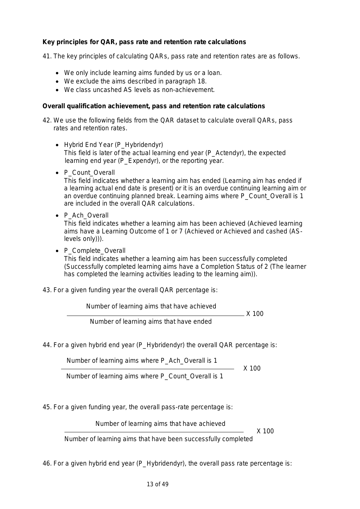## **Key principles for QAR, pass rate and retention rate calculations**

41. The key principles of calculating QARs, pass rate and retention rates are as follows.

- We only include learning aims funded by us or a loan.
- We exclude the aims described in paragraph [18.](#page-4-0)
- We class uncashed AS levels as non-achievement.

#### **Overall qualification achievement, pass and retention rate calculations**

42. We use the following fields from the QAR dataset to calculate overall QARs, pass rates and retention rates.

- Hybrid End Year (P Hybridendyr) This field is later of the actual learning end year (P\_Actendyr), the expected learning end year (P\_Expendyr), or the reporting year.
- P Count Overall

This field indicates whether a learning aim has ended (Learning aim has ended if a learning actual end date is present) or it is an overdue continuing learning aim or an overdue continuing planned break. Learning aims where P\_Count\_Overall is 1 are included in the overall QAR calculations.

• P\_Ach\_Overall

This field indicates whether a learning aim has been achieved (Achieved learning aims have a Learning Outcome of 1 or 7 (Achieved or Achieved and cashed (ASlevels only))).

• P Complete Overall

This field indicates whether a learning aim has been successfully completed (Successfully completed learning aims have a Completion Status of 2 (The learner has completed the learning activities leading to the learning aim)).

43. For a given funding year the overall QAR percentage is:

Number of learning aims that have achieved

 $- X 100$ 

Number of learning aims that have ended

44. For a given hybrid end year (P Hybridendyr) the overall QAR percentage is:

Number of learning aims where P\_Ach\_Overall is 1

 $\sim$  X 100

Number of learning aims where P\_Count\_Overall is 1

45. For a given funding year, the overall pass-rate percentage is:

Number of learning aims that have achieved

 $\sim$  X 100

Number of learning aims that have been successfully completed

46. For a given hybrid end year (P\_Hybridendyr), the overall pass rate percentage is: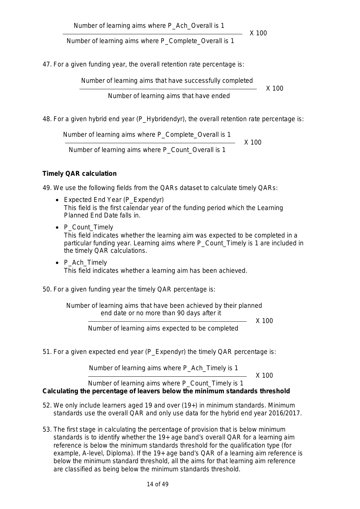$\sim$  X 100

Number of learning aims where P\_Complete\_Overall is 1

47. For a given funding year, the overall retention rate percentage is:

Number of learning aims that have successfully completed

<u>and the set of the set of the set of the set of the set of the set of the set of the set of the set of the set of the set of the set of the set of the set of the set of the set of the set of the set of the set of the set </u>

Number of learning aims that have ended

48. For a given hybrid end year (P\_Hybridendyr), the overall retention rate percentage is:

 Number of learning aims where P\_Complete\_Overall is 1 <u>and the set of the set of the set of the set of the set of the set of the set of the set of the set of the set of the set of the set of the set of the set of the set of the set of the set of the set of the set of the set </u>

Number of learning aims where P\_Count\_Overall is 1

## **Timely QAR calculation**

49. We use the following fields from the QARs dataset to calculate timely QARs:

- Expected End Year (P\_Expendyr) This field is the first calendar year of the funding period which the Learning Planned End Date falls in.
- P Count Timely This field indicates whether the learning aim was expected to be completed in a particular funding year. Learning aims where P\_Count\_Timely is 1 are included in the timely QAR calculations.
- <span id="page-13-0"></span>• P Ach Timely This field indicates whether a learning aim has been achieved.

50. For a given funding year the timely QAR percentage is:

Number of learning aims that have been achieved by their planned end date or no more than 90 days after it

<u>X</u> 100

Number of learning aims expected to be completed

51. For a given expected end year (P\_Expendyr) the timely QAR percentage is:

Number of learning aims where P\_Ach\_Timely is 1

<u>X</u> 100

Number of learning aims where P\_Count\_Timely is 1 **Calculating the percentage of leavers below the minimum standards threshold** 

- 52. We only include learners aged 19 and over (19+) in minimum standards. Minimum standards use the overall QAR and only use data for the hybrid end year 2016/2017.
- 53. The first stage in calculating the percentage of provision that is below minimum standards is to identify whether the 19+ age band's overall QAR for a learning aim reference is below the minimum standards threshold for the qualification type (for example, A-level, Diploma). If the 19+ age band's QAR of a learning aim reference is below the minimum standard threshold, all the aims for that learning aim reference are classified as being below the minimum standards threshold.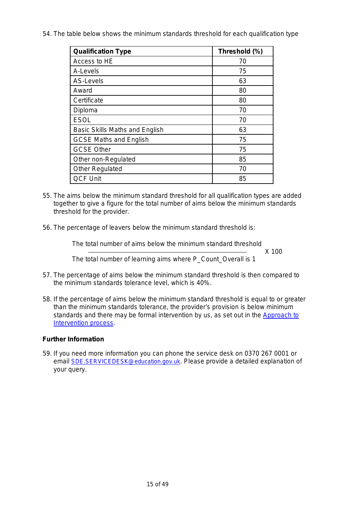54. The table below shows the minimum standards threshold for each qualification type

| <b>Qualification Type</b>      | Threshold (%) |
|--------------------------------|---------------|
| Access to HE                   | 70            |
| A-Levels                       | 75            |
| AS-Levels                      | 63            |
| Award                          | 80            |
| Certificate                    | 80            |
| Diploma                        | 70            |
| <b>ESOL</b>                    | 70            |
| Basic Skills Maths and English | 63            |
| <b>GCSE Maths and English</b>  | 75            |
| <b>GCSE Other</b>              | 75            |
| Other non-Regulated            | 85            |
| <b>Other Regulated</b>         | 70            |
| <b>QCF Unit</b>                | 85            |

- <span id="page-14-0"></span>55. The aims below the minimum standard threshold for all qualification types are added together to give a figure for the total number of aims below the minimum standards threshold for the provider.
- 56. The percentage of leavers below the minimum standard threshold is:

The total number of aims below the minimum standard threshold

 $\sim$  X 100 The total number of learning aims where P\_Count\_Overall is 1

- 57. The percentage of aims below the minimum standard threshold is then compared to the minimum standards tolerance level, which is 40%.
- 58. If the percentage of aims below the minimum standard threshold is equal to or greater than the minimum standards tolerance, the provider's provision is below minimum standards and there may be formal intervention by us, as set out in the Approach to [Intervention process.](https://www.gov.uk/government/publications/sfa-when-and-how-the-sfa-will-formally-intervene-with-providers)

#### **Further Information**

59. If you need more information you can phone the service desk on 0370 267 0001 or email [SDE.SERVICEDESK@education.gov.uk.](mailto:SDE.SERVICEDESK@education.gov.uk) Please provide a detailed explanation of your query.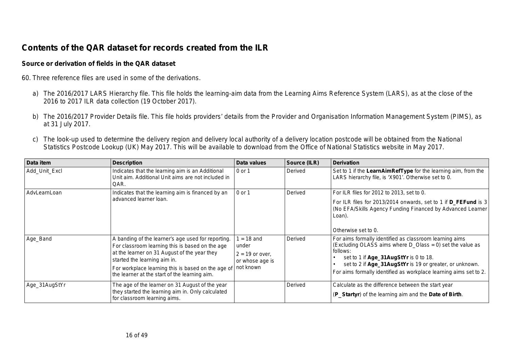# **Contents of the QAR dataset for records created from the ILR**

#### **Source or derivation of fields in the QAR dataset**

- 60. Three reference files are used in some of the derivations.
	- a) The 2016/2017 LARS Hierarchy file. This file holds the learning-aim data from the Learning Aims Reference System (LARS), as at the close of the 2016 to 2017 ILR data collection (19 October 2017).
	- b) The 2016/2017 Provider Details file. This file holds providers' details from the Provider and Organisation Information Management System (PIMS), as at 31 July 2017.
	- c) The look-up used to determine the delivery region and delivery local authority of a delivery location postcode will be obtained from the National Statistics Postcode Lookup (UK) May 2017. This will be available to download from the Office of National Statistics website in May 2017.

| Data item     | <b>Description</b>                                                                                                                                                                                                                                                                           | Data values                                                              | Source (ILR) | <b>Derivation</b>                                                                                                                                                                                                                                                                                             |
|---------------|----------------------------------------------------------------------------------------------------------------------------------------------------------------------------------------------------------------------------------------------------------------------------------------------|--------------------------------------------------------------------------|--------------|---------------------------------------------------------------------------------------------------------------------------------------------------------------------------------------------------------------------------------------------------------------------------------------------------------------|
| Add_Unit_Excl | Indicates that the learning aim is an Additional<br>Unit aim. Additional Unit aims are not included in<br>QAR.                                                                                                                                                                               | 0 or 1                                                                   | Derived      | Set to 1 if the LearnAimRefType for the learning aim, from the<br>LARS hierarchy file, is 'X901'. Otherwise set to 0.                                                                                                                                                                                         |
| AdvLearnLoan  | Indicates that the learning aim is financed by an<br>advanced learner loan.                                                                                                                                                                                                                  | 0 or 1                                                                   | Derived      | For ILR files for 2012 to 2013, set to 0.<br>For ILR files for 2013/2014 onwards, set to 1 if <b>D_FEFund</b> is 3<br>(No EFA/Skills Agency Funding Financed by Advanced Learner<br>Loan).<br>Otherwise set to 0.                                                                                             |
| Age_Band      | A banding of the learner's age used for reporting.<br>For classroom learning this is based on the age<br>at the learner on 31 August of the year they<br>started the learning aim in.<br>For workplace learning this is based on the age of<br>the learner at the start of the learning aim. | $= 18$ and<br>under<br>$2 = 19$ or over,<br>or whose age is<br>not known | Derived      | For aims formally identified as classroom learning aims<br>(Excluding OLASS aims where D_Olass = 0) set the value as<br>follows:<br>set to 1 if $Age = 31AugStYr$ is 0 to 18.<br>set to 2 if Age_31AugStYr is 19 or greater, or unknown.<br>For aims formally identified as workplace learning aims set to 2. |
| Age_31AugStYr | The age of the learner on 31 August of the year<br>they started the learning aim in. Only calculated<br>for classroom learning aims.                                                                                                                                                         |                                                                          | Derived      | Calculate as the difference between the start year<br>(P_Startyr) of the learning aim and the Date of Birth.                                                                                                                                                                                                  |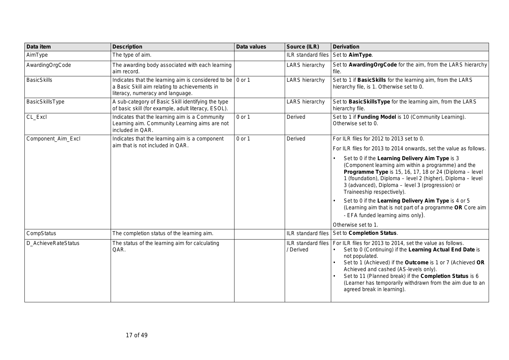| Data item           | <b>Description</b>                                                                                                                                      | <b>Data values</b> | Source (ILR)          | <b>Derivation</b>                                                                                                                                                                                                                                                                                                                                                                                                                                                                                                                                                                                                    |
|---------------------|---------------------------------------------------------------------------------------------------------------------------------------------------------|--------------------|-----------------------|----------------------------------------------------------------------------------------------------------------------------------------------------------------------------------------------------------------------------------------------------------------------------------------------------------------------------------------------------------------------------------------------------------------------------------------------------------------------------------------------------------------------------------------------------------------------------------------------------------------------|
| AimType             | The type of aim.                                                                                                                                        |                    | ILR standard files    | Set to AimType.                                                                                                                                                                                                                                                                                                                                                                                                                                                                                                                                                                                                      |
| AwardingOrgCode     | The awarding body associated with each learning<br>aim record.                                                                                          |                    | <b>LARS</b> hierarchy | Set to Awarding Org Code for the aim, from the LARS hierarchy<br>file.                                                                                                                                                                                                                                                                                                                                                                                                                                                                                                                                               |
| <b>BasicSkills</b>  | Indicates that the learning aim is considered to be $\vert$ 0 or 1<br>a Basic Skill aim relating to achievements in<br>literacy, numeracy and language. |                    | <b>LARS</b> hierarchy | Set to 1 if BasicSkills for the learning aim, from the LARS<br>hierarchy file, is 1. Otherwise set to 0.                                                                                                                                                                                                                                                                                                                                                                                                                                                                                                             |
| BasicSkillsType     | A sub-category of Basic Skill identifying the type<br>of basic skill (for example, adult literacy, ESOL).                                               |                    | <b>LARS</b> hierarchy | Set to BasicSkillsType for the learning aim, from the LARS<br>hierarchy file.                                                                                                                                                                                                                                                                                                                                                                                                                                                                                                                                        |
| CL_Excl             | Indicates that the learning aim is a Community<br>Learning aim. Community Learning aims are not<br>included in QAR.                                     | 0 or 1             | Derived               | Set to 1 if Funding Model is 10 (Community Learning).<br>Otherwise set to 0.                                                                                                                                                                                                                                                                                                                                                                                                                                                                                                                                         |
| Component Aim Excl  | Indicates that the learning aim is a component<br>aim that is not included in QAR.                                                                      | 0 or 1             | Derived               | For ILR files for 2012 to 2013 set to 0.<br>For ILR files for 2013 to 2014 onwards, set the value as follows.<br>Set to 0 if the Learning Delivery Aim Type is 3<br>(Component learning aim within a programme) and the<br>Programme Type is 15, 16, 17, 18 or 24 (Diploma - level<br>1 (foundation), Diploma - level 2 (higher), Diploma - level<br>3 (advanced), Diploma - level 3 (progression) or<br>Traineeship respectively).<br>Set to 0 if the Learning Delivery Aim Type is 4 or 5<br>(Learning aim that is not part of a programme OR Core aim<br>- EFA funded learning aims only).<br>Otherwise set to 1. |
| CompStatus          | The completion status of the learning aim.                                                                                                              |                    | ILR standard files    | Set to Completion Status.                                                                                                                                                                                                                                                                                                                                                                                                                                                                                                                                                                                            |
| D_AchieveRateStatus | The status of the learning aim for calculating<br>QAR.                                                                                                  |                    | / Derived             | ILR standard files   For ILR files for 2013 to 2014, set the value as follows.<br>Set to 0 (Continuing) if the Learning Actual End Date is<br>not populated.<br>Set to 1 (Achieved) if the Outcome is 1 or 7 (Achieved OR<br>Achieved and cashed (AS-levels only).<br>Set to 11 (Planned break) if the Completion Status is 6<br>(Learner has temporarily withdrawn from the aim due to an<br>agreed break in learning).                                                                                                                                                                                             |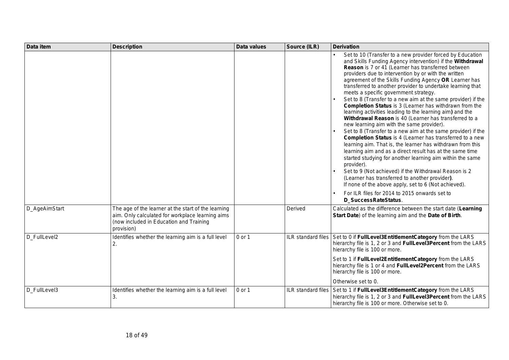| Data item     | <b>Description</b>                                                                                                                                               | <b>Data values</b> | Source (ILR)              | <b>Derivation</b>                                                                                                                                                                                                                                                                                                                                                                                                                                                                                                                                                                                                                                                                                                                                                                                                                                                                                                                                                                                                                                                                                                                                                                                    |
|---------------|------------------------------------------------------------------------------------------------------------------------------------------------------------------|--------------------|---------------------------|------------------------------------------------------------------------------------------------------------------------------------------------------------------------------------------------------------------------------------------------------------------------------------------------------------------------------------------------------------------------------------------------------------------------------------------------------------------------------------------------------------------------------------------------------------------------------------------------------------------------------------------------------------------------------------------------------------------------------------------------------------------------------------------------------------------------------------------------------------------------------------------------------------------------------------------------------------------------------------------------------------------------------------------------------------------------------------------------------------------------------------------------------------------------------------------------------|
|               |                                                                                                                                                                  |                    |                           | Set to 10 (Transfer to a new provider forced by Education<br>and Skills Funding Agency intervention) if the Withdrawal<br>Reason is 7 or 41 (Learner has transferred between<br>providers due to intervention by or with the written<br>agreement of the Skills Funding Agency OR Learner has<br>transferred to another provider to undertake learning that<br>meets a specific government strategy.<br>Set to 8 (Transfer to a new aim at the same provider) if the<br>Completion Status is 3 (Learner has withdrawn from the<br>learning activities leading to the learning aim) and the<br>Withdrawal Reason is 40 (Learner has transferred to a<br>new learning aim with the same provider).<br>Set to 8 (Transfer to a new aim at the same provider) if the<br>Completion Status is 4 (Learner has transferred to a new<br>learning aim. That is, the learner has withdrawn from this<br>learning aim and as a direct result has at the same time<br>started studying for another learning aim within the same<br>provider).<br>Set to 9 (Not achieved) if the Withdrawal Reason is 2<br>(Learner has transferred to another provider).<br>If none of the above apply, set to 6 (Not achieved). |
|               |                                                                                                                                                                  |                    |                           | For ILR files for 2014 to 2015 onwards set to<br>D SuccessRateStatus.                                                                                                                                                                                                                                                                                                                                                                                                                                                                                                                                                                                                                                                                                                                                                                                                                                                                                                                                                                                                                                                                                                                                |
| D_AgeAimStart | The age of the learner at the start of the learning<br>aim. Only calculated for workplace learning aims<br>(now included in Education and Training<br>provision) |                    | Derived                   | Calculated as the difference between the start date (Learning<br>Start Date) of the learning aim and the Date of Birth.                                                                                                                                                                                                                                                                                                                                                                                                                                                                                                                                                                                                                                                                                                                                                                                                                                                                                                                                                                                                                                                                              |
| D_FullLevel2  | Identifies whether the learning aim is a full level<br>2.                                                                                                        | 0 or 1             |                           | ILR standard files Set to 0 if FullLevel3EntitlementCategory from the LARS<br>hierarchy file is 1, 2 or 3 and FullLevel3Percent from the LARS<br>hierarchy file is 100 or more.                                                                                                                                                                                                                                                                                                                                                                                                                                                                                                                                                                                                                                                                                                                                                                                                                                                                                                                                                                                                                      |
|               |                                                                                                                                                                  |                    |                           | Set to 1 if FullLevel2EntitlementCategory from the LARS<br>hierarchy file is 1 or 4 and FullLevel2Percent from the LARS<br>hierarchy file is 100 or more.                                                                                                                                                                                                                                                                                                                                                                                                                                                                                                                                                                                                                                                                                                                                                                                                                                                                                                                                                                                                                                            |
|               |                                                                                                                                                                  |                    |                           | Otherwise set to 0.                                                                                                                                                                                                                                                                                                                                                                                                                                                                                                                                                                                                                                                                                                                                                                                                                                                                                                                                                                                                                                                                                                                                                                                  |
| D FullLevel3  | Identifies whether the learning aim is a full level<br>3.                                                                                                        | 0 or 1             | <b>ILR</b> standard files | Set to 1 if FullLevel3EntitlementCategory from the LARS<br>hierarchy file is 1, 2 or 3 and FullLevel3Percent from the LARS<br>hierarchy file is 100 or more. Otherwise set to 0.                                                                                                                                                                                                                                                                                                                                                                                                                                                                                                                                                                                                                                                                                                                                                                                                                                                                                                                                                                                                                     |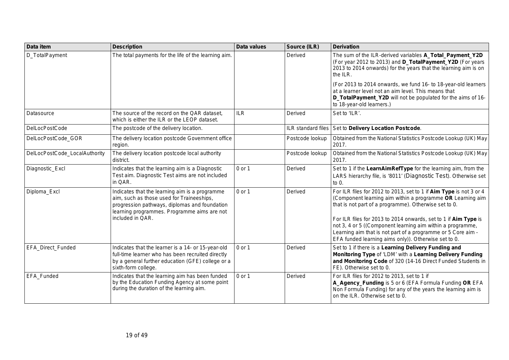| Data item                     | <b>Description</b>                                                                                                                                                                                              | Data values | Source (ILR)       | <b>Derivation</b>                                                                                                                                                                                                                                                                                                                                                                                                                                  |
|-------------------------------|-----------------------------------------------------------------------------------------------------------------------------------------------------------------------------------------------------------------|-------------|--------------------|----------------------------------------------------------------------------------------------------------------------------------------------------------------------------------------------------------------------------------------------------------------------------------------------------------------------------------------------------------------------------------------------------------------------------------------------------|
| D_TotalPayment                | The total payments for the life of the learning aim.                                                                                                                                                            |             | Derived            | The sum of the ILR-derived variables A_Total_Payment_Y2D<br>(For year 2012 to 2013) and D_TotalPayment_Y2D (For years<br>2013 to 2014 onwards) for the years that the learning aim is on<br>the ILR.                                                                                                                                                                                                                                               |
|                               |                                                                                                                                                                                                                 |             |                    | (For 2013 to 2014 onwards, we fund 16- to 18-year-old learners<br>at a learner level not an aim level. This means that<br>D_TotalPayment_Y2D will not be populated for the aims of 16-<br>to 18-year-old learners.)                                                                                                                                                                                                                                |
| Datasource                    | The source of the record on the QAR dataset,<br>which is either the ILR or the LEOP dataset.                                                                                                                    | <b>ILR</b>  | Derived            | Set to 'ILR'.                                                                                                                                                                                                                                                                                                                                                                                                                                      |
| <b>DelLocPostCode</b>         | The postcode of the delivery location.                                                                                                                                                                          |             | ILR standard files | Set to Delivery Location Postcode.                                                                                                                                                                                                                                                                                                                                                                                                                 |
| DelLocPostCode_GOR            | The delivery location postcode Government office<br>region.                                                                                                                                                     |             | Postcode lookup    | Obtained from the National Statistics Postcode Lookup (UK) May<br>2017.                                                                                                                                                                                                                                                                                                                                                                            |
| DelLocPostCode_LocalAuthority | The delivery location postcode local authority<br>district.                                                                                                                                                     |             | Postcode lookup    | Obtained from the National Statistics Postcode Lookup (UK) May<br>2017.                                                                                                                                                                                                                                                                                                                                                                            |
| Diagnostic_Excl               | Indicates that the learning aim is a Diagnostic<br>Test aim. Diagnostic Test aims are not included<br>in QAR.                                                                                                   | 0 or 1      | Derived            | Set to 1 if the LearnAimRefType for the learning aim, from the<br>LARS hierarchy file, is '8011' (Diagnostic Test). Otherwise set<br>to $0.$                                                                                                                                                                                                                                                                                                       |
| Diploma_Excl                  | Indicates that the learning aim is a programme<br>aim, such as those used for Traineeships,<br>progression pathways, diplomas and foundation<br>learning programmes. Programme aims are not<br>included in QAR. | 0 or 1      | Derived            | For ILR files for 2012 to 2013, set to 1 if Aim Type is not 3 or 4<br>(Component learning aim within a programme OR Learning aim<br>that is not part of a programme). Otherwise set to 0.<br>For ILR files for 2013 to 2014 onwards, set to 1 if Aim Type is<br>not 3, 4 or 5 ((Component learning aim within a programme,<br>Learning aim that is not part of a programme or 5 Core aim -<br>EFA funded learning aims only)). Otherwise set to 0. |
| <b>EFA Direct Funded</b>      | Indicates that the learner is a 14- or 15-year-old<br>full-time learner who has been recruited directly<br>by a general further education (GFE) college or a<br>sixth-form college.                             | 0 or 1      | Derived            | Set to 1 if there is a Learning Delivery Funding and<br>Monitoring Type of 'LDM' with a Learning Delivery Funding<br>and Monitoring Code of 320 (14-16 Direct Funded Students in<br>FE). Otherwise set to 0.                                                                                                                                                                                                                                       |
| EFA_Funded                    | Indicates that the learning aim has been funded<br>by the Education Funding Agency at some point<br>during the duration of the learning aim.                                                                    | 0 or 1      | Derived            | For ILR files for 2012 to 2013, set to 1 if<br>A_Agency_Funding is 5 or 6 (EFA Formula Funding OR EFA<br>Non Formula Funding) for any of the years the learning aim is<br>on the ILR. Otherwise set to 0.                                                                                                                                                                                                                                          |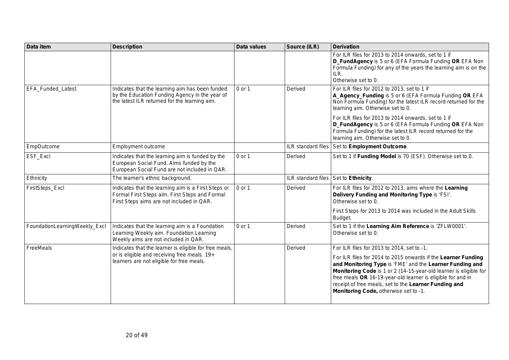| Data item                     | <b>Description</b>                                                                                                                                  | <b>Data values</b> | Source (ILR)       | <b>Derivation</b>                                                                                                                                                                                                                                                                                                                                                                                                                  |
|-------------------------------|-----------------------------------------------------------------------------------------------------------------------------------------------------|--------------------|--------------------|------------------------------------------------------------------------------------------------------------------------------------------------------------------------------------------------------------------------------------------------------------------------------------------------------------------------------------------------------------------------------------------------------------------------------------|
|                               |                                                                                                                                                     |                    |                    | For ILR files for 2013 to 2014 onwards, set to 1 if<br>D_FundAgency is 5 or 6 (EFA Formula Funding OR EFA Non<br>Formula Funding) for any of the years the learning aim is on the<br>ILR.<br>Otherwise set to 0.                                                                                                                                                                                                                   |
| EFA_Funded_Latest             | Indicates that the learning aim has been funded<br>by the Education Funding Agency in the year of<br>the latest ILR returned for the learning aim.  | 0 or 1             | Derived            | For ILR files for 2012 to 2013, set to 1 if<br>A_Agency_Funding is 5 or 6 (EFA Formula Funding OR EFA<br>Non Formula Funding) for the latest ILR record returned for the<br>learning aim. Otherwise set to 0.<br>For ILR files for 2013 to 2014 onwards, set to 1 if<br>D_FundAgency is 5 or 6 (EFA Formula Funding OR EFA Non<br>Formula Funding) for the latest ILR record returned for the<br>learning aim. Otherwise set to 0. |
| EmpOutcome                    | Employment outcome                                                                                                                                  |                    | ILR standard files | Set to Employment Outcome.                                                                                                                                                                                                                                                                                                                                                                                                         |
| ESF_Excl                      | Indicates that the learning aim is funded by the<br>European Social Fund. Aims funded by the<br>European Social Fund are not included in QAR.       | 0 or 1             | Derived            | Set to 1 if Funding Model is 70 (ESF). Otherwise set to 0.                                                                                                                                                                                                                                                                                                                                                                         |
| Ethnicity                     | The learner's ethnic background.                                                                                                                    |                    | ILR standard files | Set to Ethnicity.                                                                                                                                                                                                                                                                                                                                                                                                                  |
| FirstSteps_Excl               | Indicates that the learning aim is a First Steps or<br>Formal First Steps aim. First Steps and Formal<br>First Steps aims are not included in QAR.  | 0 or 1             | Derived            | For ILR files for 2012 to 2013, aims where the Learning<br>Delivery Funding and Monitoring Type is 'FSI'.<br>Otherwise set to 0.<br>First Steps for 2013 to 2014 was included in the Adult Skills<br>Budget.                                                                                                                                                                                                                       |
| FoundationLearningWeekly_Excl | Indicates that the learning aim is a Foundation<br>Learning Weekly aim. Foundation Learning<br>Weekly aims are not included in QAR.                 | 0 or 1             | Derived            | Set to 1 if the Learning Aim Reference is 'ZFLW0001'.<br>Otherwise set to 0.                                                                                                                                                                                                                                                                                                                                                       |
| FreeMeals                     | Indicates that the learner is eligible for free meals,<br>or is eligible and receiving free meals. 19+<br>learners are not eligible for free meals. |                    | Derived            | For ILR files for 2013 to 2014, set to -1.<br>For ILR files for 2014 to 2015 onwards if the Learner Funding<br>and Monitoring Type is 'FME' and the Learner Funding and<br>Monitoring Code is 1 or 2 (14-15-year-old learner is eligible for<br>free meals OR 16-19-year-old learner is eligible for and in<br>receipt of free meals, set to the Learner Funding and<br>Monitoring Code, otherwise set to -1.                      |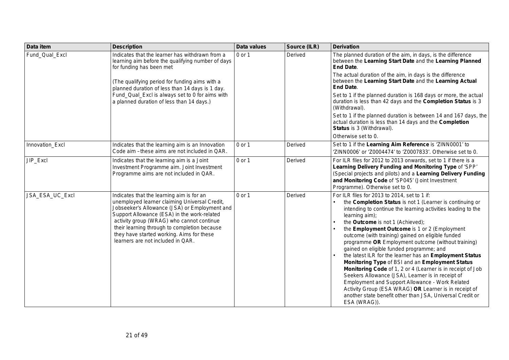| Data item       | <b>Description</b>                                                                                                                                                                                                                                                                                                                                                        | Data values | Source (ILR) | <b>Derivation</b>                                                                                                                                                                                                                                                                                                                                                                                                                                                                                                                                                                                                                                                                                                                                                                                                                                                      |
|-----------------|---------------------------------------------------------------------------------------------------------------------------------------------------------------------------------------------------------------------------------------------------------------------------------------------------------------------------------------------------------------------------|-------------|--------------|------------------------------------------------------------------------------------------------------------------------------------------------------------------------------------------------------------------------------------------------------------------------------------------------------------------------------------------------------------------------------------------------------------------------------------------------------------------------------------------------------------------------------------------------------------------------------------------------------------------------------------------------------------------------------------------------------------------------------------------------------------------------------------------------------------------------------------------------------------------------|
| Fund_Qual_Excl  | Indicates that the learner has withdrawn from a<br>learning aim before the qualifying number of days<br>for funding has been met                                                                                                                                                                                                                                          | 0 or 1      | Derived      | The planned duration of the aim, in days, is the difference<br>between the Learning Start Date and the Learning Planned<br><b>End Date.</b>                                                                                                                                                                                                                                                                                                                                                                                                                                                                                                                                                                                                                                                                                                                            |
|                 | (The qualifying period for funding aims with a<br>planned duration of less than 14 days is 1 day.                                                                                                                                                                                                                                                                         |             |              | The actual duration of the aim, in days is the difference<br>between the Learning Start Date and the Learning Actual<br><b>End Date.</b>                                                                                                                                                                                                                                                                                                                                                                                                                                                                                                                                                                                                                                                                                                                               |
|                 | Fund_Qual_Excl is always set to 0 for aims with<br>a planned duration of less than 14 days.)                                                                                                                                                                                                                                                                              |             |              | Set to 1 if the planned duration is 168 days or more, the actual<br>duration is less than 42 days and the Completion Status is 3<br>(Withdrawal).                                                                                                                                                                                                                                                                                                                                                                                                                                                                                                                                                                                                                                                                                                                      |
|                 |                                                                                                                                                                                                                                                                                                                                                                           |             |              | Set to 1 if the planned duration is between 14 and 167 days, the<br>actual duration is less than 14 days and the Completion<br>Status is 3 (Withdrawal).                                                                                                                                                                                                                                                                                                                                                                                                                                                                                                                                                                                                                                                                                                               |
|                 |                                                                                                                                                                                                                                                                                                                                                                           |             |              | Otherwise set to 0.                                                                                                                                                                                                                                                                                                                                                                                                                                                                                                                                                                                                                                                                                                                                                                                                                                                    |
| Innovation_Excl | Indicates that the learning aim is an Innovation<br>Code aim --these aims are not included in QAR.                                                                                                                                                                                                                                                                        | 0 or 1      | Derived      | Set to 1 if the Learning Aim Reference is 'ZINN0001' to<br>'ZINN0006' or 'Z0004474' to 'Z0007833'. Otherwise set to 0.                                                                                                                                                                                                                                                                                                                                                                                                                                                                                                                                                                                                                                                                                                                                                 |
| JIP_Excl        | Indicates that the learning aim is a Joint<br>Investment Programme aim. Joint Investment<br>Programme aims are not included in QAR.                                                                                                                                                                                                                                       | 0 or 1      | Derived      | For ILR files for 2012 to 2013 onwards, set to 1 if there is a<br>Learning Delivery Funding and Monitoring Type of 'SPP'<br>(Special projects and pilots) and a Learning Delivery Funding<br>and Monitoring Code of 'SP045' (Joint Investment<br>Programme). Otherwise set to 0.                                                                                                                                                                                                                                                                                                                                                                                                                                                                                                                                                                                       |
| JSA_ESA_UC_Excl | Indicates that the learning aim is for an<br>unemployed learner claiming Universal Credit,<br>Jobseeker's Allowance (JSA) or Employment and<br>Support Allowance (ESA) in the work-related<br>activity group (WRAG) who cannot continue<br>their learning through to completion because<br>they have started working. Aims for these<br>learners are not included in QAR. | 0 or 1      | Derived      | For ILR files for 2013 to 2014, set to 1 if:<br>the Completion Status is not 1 (Learner is continuing or<br>intending to continue the learning activities leading to the<br>learning aim);<br>the Outcome is not 1 (Achieved);<br>the Employment Outcome is 1 or 2 (Employment<br>outcome (with training) gained on eligible funded<br>programme OR Employment outcome (without training)<br>gained on eligible funded programme; and<br>the latest ILR for the learner has an Employment Status<br>Monitoring Type of BSI and an Employment Status<br>Monitoring Code of 1, 2 or 4 (Learner is in receipt of Job<br>Seekers Allowance (JSA), Learner is in receipt of<br><b>Employment and Support Allowance - Work Related</b><br>Activity Group (ESA WRAG) OR Learner is in receipt of<br>another state benefit other than JSA, Universal Credit or<br>ESA (WRAG)). |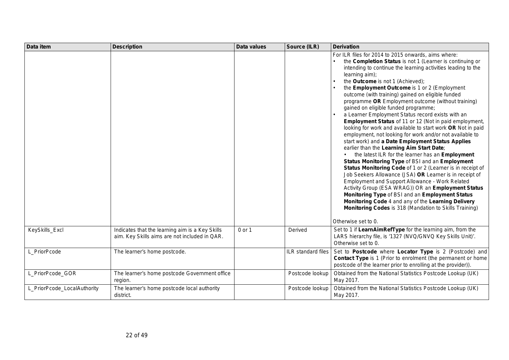| Data item                   | <b>Description</b>                                                                               | Data values | Source (ILR)       | <b>Derivation</b>                                                                                                                                                                                                                                                                                                                                                                                                                                                                                                                                                                                                                                                                                                                                                                                                                                                                                                                                                                                                                                                                                                                                                                                                                                                                                                             |
|-----------------------------|--------------------------------------------------------------------------------------------------|-------------|--------------------|-------------------------------------------------------------------------------------------------------------------------------------------------------------------------------------------------------------------------------------------------------------------------------------------------------------------------------------------------------------------------------------------------------------------------------------------------------------------------------------------------------------------------------------------------------------------------------------------------------------------------------------------------------------------------------------------------------------------------------------------------------------------------------------------------------------------------------------------------------------------------------------------------------------------------------------------------------------------------------------------------------------------------------------------------------------------------------------------------------------------------------------------------------------------------------------------------------------------------------------------------------------------------------------------------------------------------------|
|                             |                                                                                                  |             |                    | For ILR files for 2014 to 2015 onwards, aims where:<br>the Completion Status is not 1 (Learner is continuing or<br>intending to continue the learning activities leading to the<br>learning aim);<br>the Outcome is not 1 (Achieved);<br>the Employment Outcome is 1 or 2 (Employment<br>outcome (with training) gained on eligible funded<br>programme OR Employment outcome (without training)<br>gained on eligible funded programme;<br>a Learner Employment Status record exists with an<br>Employment Status of 11 or 12 (Not in paid employment,<br>looking for work and available to start work OR Not in paid<br>employment, not looking for work and/or not available to<br>start work) and a Date Employment Status Applies<br>earlier than the Learning Aim Start Date;<br>the latest ILR for the learner has an <b>Employment</b><br>Status Monitoring Type of BSI and an Employment<br>Status Monitoring Code of 1 or 2 (Learner is in receipt of<br>Job Seekers Allowance (JSA) OR Learner is in receipt of<br>Employment and Support Allowance - Work Related<br>Activity Group (ESA WRAG)) OR an Employment Status<br>Monitoring Type of BSI and an Employment Status<br>Monitoring Code 4 and any of the Learning Delivery<br>Monitoring Codes is 318 (Mandation to Skills Training)<br>Otherwise set to 0. |
| KeySkills_Excl              | Indicates that the learning aim is a Key Skills<br>aim. Key Skills aims are not included in QAR. | 0 or 1      | Derived            | Set to 1 if LearnAimRefType for the learning aim, from the<br>LARS hierarchy file, is '1327 (NVQ/GNVQ Key Skills Unit)'.<br>Otherwise set to 0.                                                                                                                                                                                                                                                                                                                                                                                                                                                                                                                                                                                                                                                                                                                                                                                                                                                                                                                                                                                                                                                                                                                                                                               |
| L_PriorPcode                | The learner's home postcode.                                                                     |             | ILR standard files | Set to Postcode where Locator Type is 2 (Postcode) and<br><b>Contact Type</b> is 1 (Prior to enrolment (the permanent or home<br>postcode of the learner prior to enrolling at the provider)).                                                                                                                                                                                                                                                                                                                                                                                                                                                                                                                                                                                                                                                                                                                                                                                                                                                                                                                                                                                                                                                                                                                                |
| L_PriorPcode_GOR            | The learner's home postcode Government office<br>region.                                         |             | Postcode lookup    | Obtained from the National Statistics Postcode Lookup (UK)<br>May 2017.                                                                                                                                                                                                                                                                                                                                                                                                                                                                                                                                                                                                                                                                                                                                                                                                                                                                                                                                                                                                                                                                                                                                                                                                                                                       |
| L_PriorPcode_LocalAuthority | The learner's home postcode local authority<br>district.                                         |             | Postcode lookup    | Obtained from the National Statistics Postcode Lookup (UK)<br>May 2017.                                                                                                                                                                                                                                                                                                                                                                                                                                                                                                                                                                                                                                                                                                                                                                                                                                                                                                                                                                                                                                                                                                                                                                                                                                                       |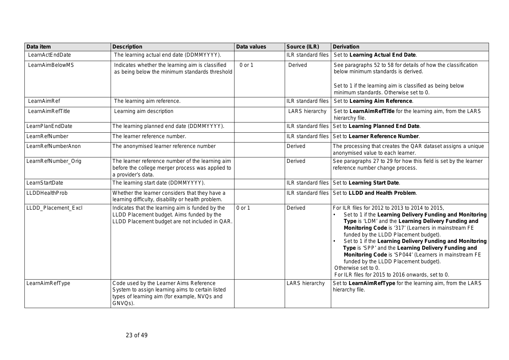| Data item             | <b>Description</b>                                                                                                                                     | Data values | Source (ILR)              | <b>Derivation</b>                                                                                                                                                                                                                                                                                                                                                                                                                                                                                                                                                   |
|-----------------------|--------------------------------------------------------------------------------------------------------------------------------------------------------|-------------|---------------------------|---------------------------------------------------------------------------------------------------------------------------------------------------------------------------------------------------------------------------------------------------------------------------------------------------------------------------------------------------------------------------------------------------------------------------------------------------------------------------------------------------------------------------------------------------------------------|
| LearnActEndDate       | The learning actual end date (DDMMYYYY).                                                                                                               |             | <b>ILR</b> standard files | Set to Learning Actual End Date.                                                                                                                                                                                                                                                                                                                                                                                                                                                                                                                                    |
| LearnAimBelowMS       | Indicates whether the learning aim is classified<br>as being below the minimum standards threshold                                                     | 0 or 1      | Derived                   | See paragraphs 52 to 58 for details of how the classification<br>below minimum standards is derived.                                                                                                                                                                                                                                                                                                                                                                                                                                                                |
|                       |                                                                                                                                                        |             |                           | Set to 1 if the learning aim is classified as being below<br>minimum standards. Otherwise set to 0.                                                                                                                                                                                                                                                                                                                                                                                                                                                                 |
| LearnAimRef           | The learning aim reference.                                                                                                                            |             | ILR standard files        | Set to Learning Aim Reference.                                                                                                                                                                                                                                                                                                                                                                                                                                                                                                                                      |
| LearnAimRefTitle      | Learning aim description                                                                                                                               |             | LARS hierarchy            | Set to LearnAimRefTitle for the learning aim, from the LARS<br>hierarchy file.                                                                                                                                                                                                                                                                                                                                                                                                                                                                                      |
| LearnPlanEndDate      | The learning planned end date (DDMMYYYY).                                                                                                              |             | ILR standard files        | Set to Learning Planned End Date.                                                                                                                                                                                                                                                                                                                                                                                                                                                                                                                                   |
| LearnRefNumber        | The learner reference number.                                                                                                                          |             | ILR standard files        | Set to Learner Reference Number.                                                                                                                                                                                                                                                                                                                                                                                                                                                                                                                                    |
| LearnRefNumberAnon    | The anonymised learner reference number                                                                                                                |             | Derived                   | The processing that creates the QAR dataset assigns a unique<br>anonymised value to each learner.                                                                                                                                                                                                                                                                                                                                                                                                                                                                   |
| LearnRefNumber_Orig   | The learner reference number of the learning aim<br>before the college merger process was applied to<br>a provider's data.                             |             | Derived                   | See paragraphs 27 to 29 for how this field is set by the learner<br>reference number change process.                                                                                                                                                                                                                                                                                                                                                                                                                                                                |
| LearnStartDate        | The learning start date (DDMMYYYY).                                                                                                                    |             |                           | ILR standard files   Set to Learning Start Date.                                                                                                                                                                                                                                                                                                                                                                                                                                                                                                                    |
| <b>LLDDHealthProb</b> | Whether the learner considers that they have a<br>learning difficulty, disability or health problem.                                                   |             | <b>ILR</b> standard files | Set to LLDD and Health Problem.                                                                                                                                                                                                                                                                                                                                                                                                                                                                                                                                     |
| LLDD_Placement_Excl   | Indicates that the learning aim is funded by the<br>LLDD Placement budget. Aims funded by the<br>LLDD Placement budget are not included in QAR.        | 0 or 1      | Derived                   | For ILR files for 2012 to 2013 to 2014 to 2015,<br>Set to 1 if the Learning Delivery Funding and Monitoring<br>Type is 'LDM' and the Learning Delivery Funding and<br>Monitoring Code is '317' (Learners in mainstream FE<br>funded by the LLDD Placement budget).<br>Set to 1 if the Learning Delivery Funding and Monitoring<br>Type is 'SPP' and the Learning Delivery Funding and<br>Monitoring Code is 'SP044' (Learners in mainstream FE<br>funded by the LLDD Placement budget).<br>Otherwise set to 0.<br>For ILR files for 2015 to 2016 onwards, set to 0. |
| LearnAimRefType       | Code used by the Learner Aims Reference<br>System to assign learning aims to certain listed<br>types of learning aim (for example, NVQs and<br>GNVQs). |             | <b>LARS hierarchy</b>     | Set to LearnAimRefType for the learning aim, from the LARS<br>hierarchy file.                                                                                                                                                                                                                                                                                                                                                                                                                                                                                       |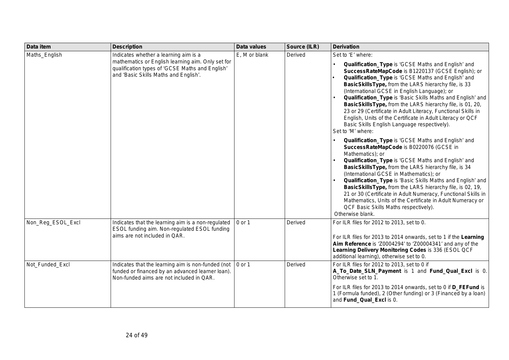| Data item         | <b>Description</b>                                                                                                                                                                     | Data values   | Source (ILR) | <b>Derivation</b>                                                                                                                                                                                                                                                                                                                                                                                                                                                                                                                                                                                                                                                                                                                                                                                                                                                                                                                                                                                                                                                                                                                                                                                                              |
|-------------------|----------------------------------------------------------------------------------------------------------------------------------------------------------------------------------------|---------------|--------------|--------------------------------------------------------------------------------------------------------------------------------------------------------------------------------------------------------------------------------------------------------------------------------------------------------------------------------------------------------------------------------------------------------------------------------------------------------------------------------------------------------------------------------------------------------------------------------------------------------------------------------------------------------------------------------------------------------------------------------------------------------------------------------------------------------------------------------------------------------------------------------------------------------------------------------------------------------------------------------------------------------------------------------------------------------------------------------------------------------------------------------------------------------------------------------------------------------------------------------|
| Maths_English     | Indicates whether a learning aim is a<br>mathematics or English learning aim. Only set for<br>qualification types of 'GCSE Maths and English'<br>and 'Basic Skills Maths and English'. | E, M or blank | Derived      | Set to 'E' where:<br>Qualification_Type is 'GCSE Maths and English' and<br>SuccessRateMapCode is B1220137 (GCSE English); or<br>Qualification_Type is 'GCSE Maths and English' and<br>BasicSkillsType, from the LARS hierarchy file, is 33<br>(International GCSE in English Language); or<br>Qualification_Type is 'Basic Skills Maths and English' and<br>BasicSkillsType, from the LARS hierarchy file, is 01, 20,<br>23 or 29 (Certificate in Adult Literacy, Functional Skills in<br>English, Units of the Certificate in Adult Literacy or QCF<br>Basic Skills English Language respectively).<br>Set to 'M' where:<br>Qualification_Type is 'GCSE Maths and English' and<br>SuccessRateMapCode is B0220076 (GCSE in<br>Mathematics); or<br>Qualification_Type is 'GCSE Maths and English' and<br>BasicSkillsType, from the LARS hierarchy file, is 34<br>(International GCSE in Mathematics); or<br>Qualification_Type is 'Basic Skills Maths and English' and<br>BasicSkillsType, from the LARS hierarchy file, is 02, 19,<br>21 or 30 (Certificate in Adult Numeracy, Functional Skills in<br>Mathematics, Units of the Certificate in Adult Numeracy or<br>QCF Basic Skills Maths respectively).<br>Otherwise blank. |
| Non_Reg_ESOL_Excl | Indicates that the learning aim is a non-regulated<br>ESOL funding aim. Non-regulated ESOL funding<br>aims are not included in QAR.                                                    | 0 or 1        | Derived      | For ILR files for 2012 to 2013, set to 0.<br>For ILR files for 2013 to 2014 onwards, set to 1 if the Learning<br>Aim Reference is 'Z0004294' to 'Z00004341' and any of the<br>Learning Delivery Monitoring Codes is 336 (ESOL QCF<br>additional learning), otherwise set to 0.                                                                                                                                                                                                                                                                                                                                                                                                                                                                                                                                                                                                                                                                                                                                                                                                                                                                                                                                                 |
| Not_Funded_Excl   | Indicates that the learning aim is non-funded (not<br>funded or financed by an advanced learner loan).<br>Non-funded aims are not included in QAR.                                     | $0$ or 1      | Derived      | For ILR files for 2012 to 2013, set to 0 if<br>A_To_Date_SLN_Payment is 1 and Fund_Qual_Excl is 0.<br>Otherwise set to 1.<br>For ILR files for 2013 to 2014 onwards, set to 0 if D_FEFund is<br>1 (Formula funded), 2 (Other funding) or 3 (Financed by a loan)<br>and Fund_Qual_Excl is 0.                                                                                                                                                                                                                                                                                                                                                                                                                                                                                                                                                                                                                                                                                                                                                                                                                                                                                                                                    |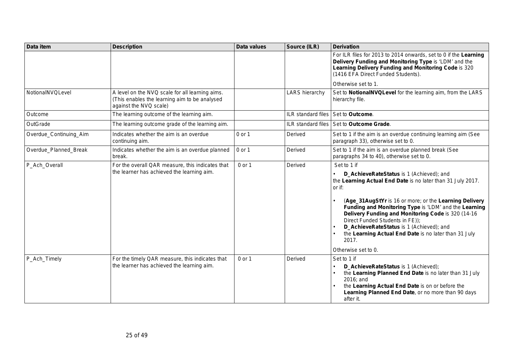| Data item              | <b>Description</b>                                                                                                         | Data values | Source (ILR)              | <b>Derivation</b>                                                                                                                                                                                                                                                                                                                                                                                                                                                                 |
|------------------------|----------------------------------------------------------------------------------------------------------------------------|-------------|---------------------------|-----------------------------------------------------------------------------------------------------------------------------------------------------------------------------------------------------------------------------------------------------------------------------------------------------------------------------------------------------------------------------------------------------------------------------------------------------------------------------------|
|                        |                                                                                                                            |             |                           | For ILR files for 2013 to 2014 onwards, set to 0 if the Learning<br>Delivery Funding and Monitoring Type is 'LDM' and the<br>Learning Delivery Funding and Monitoring Code is 320<br>(1416 EFA Direct Funded Students).                                                                                                                                                                                                                                                           |
|                        |                                                                                                                            |             |                           | Otherwise set to 1.                                                                                                                                                                                                                                                                                                                                                                                                                                                               |
| NotionalNVQLevel       | A level on the NVQ scale for all learning aims.<br>(This enables the learning aim to be analysed<br>against the NVQ scale) |             | <b>LARS hierarchy</b>     | Set to NotionalNVQLevel for the learning aim, from the LARS<br>hierarchy file.                                                                                                                                                                                                                                                                                                                                                                                                    |
| Outcome                | The learning outcome of the learning aim.                                                                                  |             | ILR standard files        | Set to Outcome.                                                                                                                                                                                                                                                                                                                                                                                                                                                                   |
| OutGrade               | The learning outcome grade of the learning aim.                                                                            |             | <b>ILR</b> standard files | Set to Outcome Grade.                                                                                                                                                                                                                                                                                                                                                                                                                                                             |
| Overdue_Continuing_Aim | Indicates whether the aim is an overdue<br>continuing aim.                                                                 | 0 or 1      | Derived                   | Set to 1 if the aim is an overdue continuing learning aim (See<br>paragraph 33), otherwise set to 0.                                                                                                                                                                                                                                                                                                                                                                              |
| Overdue_Planned_Break  | Indicates whether the aim is an overdue planned<br>break.                                                                  | 0 or 1      | Derived                   | Set to 1 if the aim is an overdue planned break (See<br>paragraphs 34 to 40), otherwise set to 0.                                                                                                                                                                                                                                                                                                                                                                                 |
| P_Ach_Overall          | For the overall QAR measure, this indicates that<br>the learner has achieved the learning aim.                             | 0 or 1      | Derived                   | Set to 1 if<br>D_AchieveRateStatus is 1 (Achieved); and<br>the Learning Actual End Date is no later than 31 July 2017.<br>or if:<br>(Age_31AugStYr is 16 or more; or the Learning Delivery<br>Funding and Monitoring Type is 'LDM' and the Learning<br>Delivery Funding and Monitoring Code is 320 (14-16<br>Direct Funded Students in FE));<br>D_AchieveRateStatus is 1 (Achieved); and<br>the Learning Actual End Date is no later than 31 July<br>2017.<br>Otherwise set to 0. |
| P_Ach_Timely           | For the timely QAR measure, this indicates that<br>the learner has achieved the learning aim.                              | 0 or 1      | Derived                   | Set to 1 if<br>D_AchieveRateStatus is 1 (Achieved);<br>the Learning Planned End Date is no later than 31 July<br>2016; and<br>the Learning Actual End Date is on or before the<br>Learning Planned End Date, or no more than 90 days<br>after it.                                                                                                                                                                                                                                 |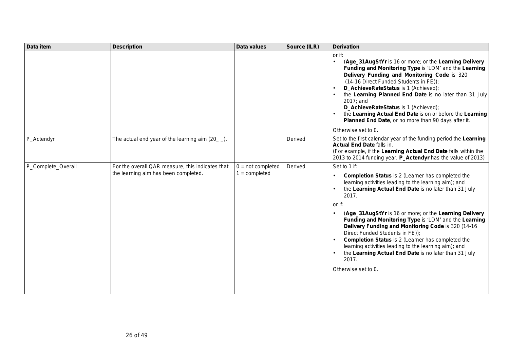| Data item          | <b>Description</b>                                                                       | Data values                            | Source (ILR) | <b>Derivation</b>                                                                                                                                                                                                                                                                                                                                                                                                                                                                                                                                                                                                                 |
|--------------------|------------------------------------------------------------------------------------------|----------------------------------------|--------------|-----------------------------------------------------------------------------------------------------------------------------------------------------------------------------------------------------------------------------------------------------------------------------------------------------------------------------------------------------------------------------------------------------------------------------------------------------------------------------------------------------------------------------------------------------------------------------------------------------------------------------------|
|                    |                                                                                          |                                        |              | or if:<br>(Age_31AugStYr is 16 or more; or the Learning Delivery<br>Funding and Monitoring Type is 'LDM' and the Learning<br>Delivery Funding and Monitoring Code is 320<br>(14-16 Direct Funded Students in FE));<br>D_AchieveRateStatus is 1 (Achieved);<br>the Learning Planned End Date is no later than 31 July<br>2017: and<br>D_AchieveRateStatus is 1 (Achieved);<br>the Learning Actual End Date is on or before the Learning<br>Planned End Date, or no more than 90 days after it.<br>Otherwise set to 0.                                                                                                              |
| P_Actendyr         | The actual end year of the learning aim $(20)$ .                                         |                                        | Derived      | Set to the first calendar year of the funding period the Learning<br>Actual End Date falls in.<br>(For example, if the Learning Actual End Date falls within the<br>2013 to 2014 funding year, P_Actendyr has the value of 2013)                                                                                                                                                                                                                                                                                                                                                                                                  |
| P_Complete_Overall | For the overall QAR measure, this indicates that<br>the learning aim has been completed. | $0 = not completed$<br>$1 =$ completed | Derived      | Set to 1 if:<br><b>Completion Status</b> is 2 (Learner has completed the<br>learning activities leading to the learning aim); and<br>the Learning Actual End Date is no later than 31 July<br>2017.<br>or if:<br>(Age_31AugStYr is 16 or more; or the Learning Delivery<br>Funding and Monitoring Type is 'LDM' and the Learning<br>Delivery Funding and Monitoring Code is 320 (14-16)<br>Direct Funded Students in FE));<br>Completion Status is 2 (Learner has completed the<br>learning activities leading to the learning aim); and<br>the Learning Actual End Date is no later than 31 July<br>2017.<br>Otherwise set to 0. |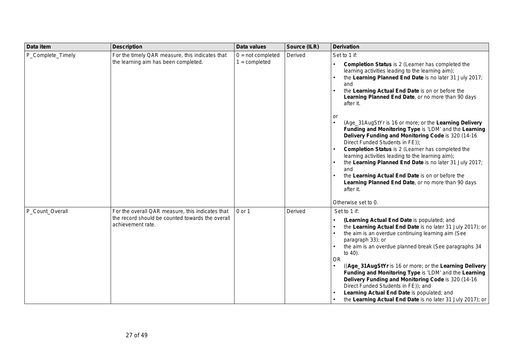| Data item         | <b>Description</b>                                                                                                        | <b>Data values</b>                     | Source (ILR) | <b>Derivation</b>                                                                                                                                                                                                                                                                                                                                                                                                                                                                                                                                                                                                                                                                                                                                                                                                                                                         |
|-------------------|---------------------------------------------------------------------------------------------------------------------------|----------------------------------------|--------------|---------------------------------------------------------------------------------------------------------------------------------------------------------------------------------------------------------------------------------------------------------------------------------------------------------------------------------------------------------------------------------------------------------------------------------------------------------------------------------------------------------------------------------------------------------------------------------------------------------------------------------------------------------------------------------------------------------------------------------------------------------------------------------------------------------------------------------------------------------------------------|
| P_Complete_Timely | For the timely QAR measure, this indicates that<br>the learning aim has been completed.                                   | $0 = not completed$<br>$1 =$ completed | Derived      | Set to 1 if:<br><b>Completion Status</b> is 2 (Learner has completed the<br>learning activities leading to the learning aim);<br>the Learning Planned End Date is no later 31 July 2017;<br>and<br>the Learning Actual End Date is on or before the<br>Learning Planned End Date, or no more than 90 days<br>after it.<br>or<br>(Age_31AugStYr is 16 or more; or the Learning Delivery<br>Funding and Monitoring Type is 'LDM' and the Learning<br>Delivery Funding and Monitoring Code is 320 (14-16<br>Direct Funded Students in FE));<br><b>Completion Status</b> is 2 (Learner has completed the<br>learning activities leading to the learning aim);<br>the Learning Planned End Date is no later 31 July 2017;<br>and<br>the Learning Actual End Date is on or before the<br>Learning Planned End Date, or no more than 90 days<br>after it.<br>Otherwise set to 0. |
| P_Count_Overall   | For the overall QAR measure, this indicates that<br>the record should be counted towards the overall<br>achievement rate. | 0 or 1                                 | Derived      | Set to 1 if:<br>(Learning Actual End Date is populated; and<br>the Learning Actual End Date is no later 31 July 2017); or<br>the aim is an overdue continuing learning aim (See<br>paragraph 33); or<br>the aim is an overdue planned break (See paragraphs 34<br>to 40).<br><b>OR</b><br>((Age_31AugStYr is 16 or more; or the Learning Delivery<br>Funding and Monitoring Type is 'LDM' and the Learning<br>Delivery Funding and Monitoring Code is 320 (14-16<br>Direct Funded Students in FE)); and<br>Learning Actual End Date is populated; and<br>the Learning Actual End Date is no later 31 July 2017); or                                                                                                                                                                                                                                                       |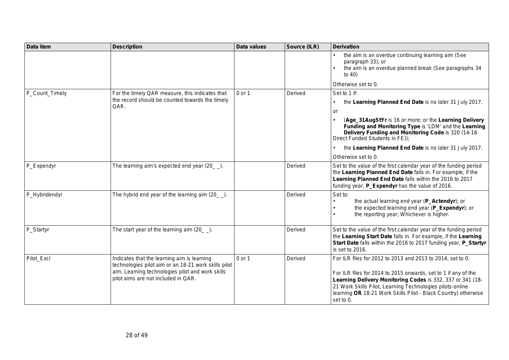| Data item      | <b>Description</b>                                                                                                                                                                             | Data values | Source (ILR) | <b>Derivation</b>                                                                                                                                                                                                                                                                                                                      |
|----------------|------------------------------------------------------------------------------------------------------------------------------------------------------------------------------------------------|-------------|--------------|----------------------------------------------------------------------------------------------------------------------------------------------------------------------------------------------------------------------------------------------------------------------------------------------------------------------------------------|
|                |                                                                                                                                                                                                |             |              | the aim is an overdue continuing learning aim (See<br>paragraph 33); or<br>the aim is an overdue planned break (See paragraphs 34<br>to $40$ )                                                                                                                                                                                         |
|                |                                                                                                                                                                                                |             |              | Otherwise set to 0.                                                                                                                                                                                                                                                                                                                    |
| P_Count_Timely | For the timely QAR measure, this indicates that                                                                                                                                                | 0 or 1      | Derived      | Set to 1 if:                                                                                                                                                                                                                                                                                                                           |
|                | the record should be counted towards the timely<br>QAR.                                                                                                                                        |             |              | the Learning Planned End Date is no later 31 July 2017.                                                                                                                                                                                                                                                                                |
|                |                                                                                                                                                                                                |             |              | or                                                                                                                                                                                                                                                                                                                                     |
|                |                                                                                                                                                                                                |             |              | (Age_31AugStYr is 16 or more; or the Learning Delivery<br>Funding and Monitoring Type is 'LDM' and the Learning<br>Delivery Funding and Monitoring Code is 320 (14-16)<br>Direct Funded Students in FE));                                                                                                                              |
|                |                                                                                                                                                                                                |             |              | the Learning Planned End Date is no later 31 July 2017.                                                                                                                                                                                                                                                                                |
|                |                                                                                                                                                                                                |             |              | Otherwise set to 0.                                                                                                                                                                                                                                                                                                                    |
| P_Expendyr     | The learning aim's expected end year (20_).                                                                                                                                                    |             | Derived      | Set to the value of the first calendar year of the funding period<br>the Learning Planned End Date falls in. For example, if the<br>Learning Planned End Date falls within the 2016 to 2017<br>funding year, P_Expendyr has the value of 2016.                                                                                         |
| P_Hybridendyr  | The hybrid end year of the learning aim $(20$ $)$ .                                                                                                                                            |             | Derived      | Set to:<br>the actual learning end year (P_Actendyr); or<br>the expected learning end year (P_Expendyr); or<br>the reporting year; Whichever is higher.                                                                                                                                                                                |
| P_Startyr      | The start year of the learning aim $(20$ ).                                                                                                                                                    |             | Derived      | Set to the value of the first calendar year of the funding period<br>the Learning Start Date falls in. For example, if the Learning<br>Start Date falls within the 2016 to 2017 funding year, P_Startyr<br>is set to 2016.                                                                                                             |
| Pilot_Excl     | Indicates that the learning aim is learning<br>technologies pilot aim or an 18-21 work skills pilot<br>aim. Learning technologies pilot and work skills<br>pilot aims are not included in QAR. | 0 or 1      | Derived      | For ILR files for 2012 to 2013 and 2013 to 2014, set to 0.<br>For ILR files for 2014 to 2015 onwards, set to 1 if any of the<br>Learning Delivery Monitoring Codes is 332, 337 or 341 (18-<br>21 Work Skills Pilot, Learning Technologies pilots-online<br>learning OR 18-21 Work Skills Pilot - Black Country) otherwise<br>set to 0. |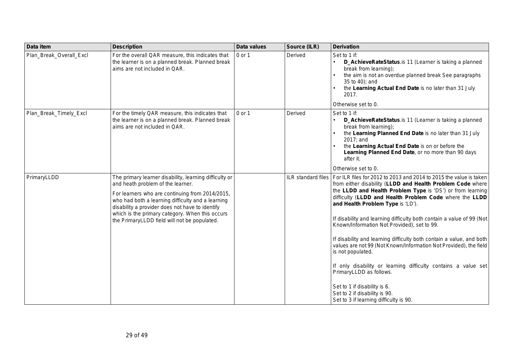| Data item               | <b>Description</b>                                                                                                                                                                                                                                                                                                                                        | <b>Data values</b> | Source (ILR)       | <b>Derivation</b>                                                                                                                                                                                                                                                                                                                                                                                                                                                                                                                                                                                                                                                                                                                                                                                |
|-------------------------|-----------------------------------------------------------------------------------------------------------------------------------------------------------------------------------------------------------------------------------------------------------------------------------------------------------------------------------------------------------|--------------------|--------------------|--------------------------------------------------------------------------------------------------------------------------------------------------------------------------------------------------------------------------------------------------------------------------------------------------------------------------------------------------------------------------------------------------------------------------------------------------------------------------------------------------------------------------------------------------------------------------------------------------------------------------------------------------------------------------------------------------------------------------------------------------------------------------------------------------|
| Plan Break Overall Excl | For the overall QAR measure, this indicates that<br>the learner is on a planned break. Planned break<br>aims are not included in QAR.                                                                                                                                                                                                                     | 0 or 1             | Derived            | Set to 1 if:<br>D_AchieveRateStatus.is 11 (Learner is taking a planned<br>break from learning);<br>the aim is not an overdue planned break See paragraphs<br>35 to 40); and<br>the Learning Actual End Date is no later than 31 July<br>2017.<br>Otherwise set to 0.                                                                                                                                                                                                                                                                                                                                                                                                                                                                                                                             |
| Plan_Break_Timely_Excl  | For the timely QAR measure, this indicates that<br>the learner is on a planned break. Planned break<br>aims are not included in QAR.                                                                                                                                                                                                                      | 0 or 1             | Derived            | Set to 1 if:<br>D_AchieveRateStatus.is 11 (Learner is taking a planned<br>break from learning);<br>the Learning Planned End Date is no later than 31 July<br>2017; and<br>the Learning Actual End Date is on or before the<br>Learning Planned End Date, or no more than 90 days<br>after it.<br>Otherwise set to 0.                                                                                                                                                                                                                                                                                                                                                                                                                                                                             |
| PrimaryLLDD             | The primary learner disability, learning difficulty or<br>and heath problem of the learner.<br>For learners who are continuing from 2014/2015,<br>who had both a learning difficulty and a learning<br>disability a provider does not have to identify<br>which is the primary category. When this occurs<br>the PrimaryLLDD field will not be populated. |                    | ILR standard files | For ILR files for 2012 to 2013 and 2014 to 2015 the value is taken<br>from either disability (LLDD and Health Problem Code where<br>the LLDD and Health Problem Type is 'DS') or from learning<br>difficulty (LLDD and Health Problem Code where the LLDD<br>and Health Problem Type is 'LD').<br>If disability and learning difficulty both contain a value of 99 (Not<br>Known/Information Not Provided), set to 99.<br>If disability and learning difficulty both contain a value, and both<br>values are not 99 (Not Known/Information Not Provided), the field<br>is not populated.<br>If only disability or learning difficulty contains a value set<br>PrimaryLLDD as follows.<br>Set to 1 if disability is 6.<br>Set to 2 if disability is 90.<br>Set to 3 if learning difficulty is 90. |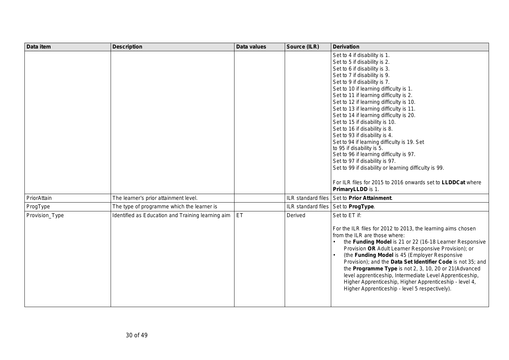| Data item      | <b>Description</b>                                | Data values | Source (ILR)       | <b>Derivation</b>                                                                                                                                                                                                                                                                                                                                                                                                                                                                                                                                                                                                                                                                                                                                                                           |
|----------------|---------------------------------------------------|-------------|--------------------|---------------------------------------------------------------------------------------------------------------------------------------------------------------------------------------------------------------------------------------------------------------------------------------------------------------------------------------------------------------------------------------------------------------------------------------------------------------------------------------------------------------------------------------------------------------------------------------------------------------------------------------------------------------------------------------------------------------------------------------------------------------------------------------------|
|                |                                                   |             |                    | Set to 4 if disability is 1.<br>Set to 5 if disability is 2.<br>Set to 6 if disability is 3.<br>Set to 7 if disability is 9.<br>Set to 9 if disability is 7.<br>Set to 10 if learning difficulty is 1.<br>Set to 11 if learning difficulty is 2.<br>Set to 12 if learning difficulty is 10.<br>Set to 13 if learning difficulty is 11.<br>Set to 14 if learning difficulty is 20.<br>Set to 15 if disability is 10.<br>Set to 16 if disability is 8.<br>Set to 93 if disability is 4.<br>Set to 94 if learning difficulty is 19. Set<br>to 95 if disability is 5.<br>Set to 96 if learning difficulty is 97.<br>Set to 97 if disability is 97.<br>Set to 99 if disability or learning difficulty is 99.<br>For ILR files for 2015 to 2016 onwards set to LLDDCat where<br>PrimaryLLDD is 1. |
| PriorAttain    | The learner's prior attainment level.             |             | ILR standard files | Set to Prior Attainment.                                                                                                                                                                                                                                                                                                                                                                                                                                                                                                                                                                                                                                                                                                                                                                    |
| ProgType       | The type of programme which the learner is        |             |                    | ILR standard files   Set to ProgType.                                                                                                                                                                                                                                                                                                                                                                                                                                                                                                                                                                                                                                                                                                                                                       |
| Provision_Type | Identified as Education and Training learning aim | ET          | Derived            | Set to ET if:<br>For the ILR files for 2012 to 2013, the learning aims chosen<br>from the ILR are those where:<br>the Funding Model is 21 or 22 (16-18 Learner Responsive<br>Provision OR Adult Learner Responsive Provision); or<br>(the Funding Model is 45 (Employer Responsive<br>Provision); and the Data Set Identifier Code is not 35; and<br>the Programme Type is not 2, 3, 10, 20 or 21(Advanced<br>level apprenticeship, Intermediate Level Apprenticeship,<br>Higher Apprenticeship, Higher Apprenticeship - level 4,<br>Higher Apprenticeship - level 5 respectively).                                                                                                                                                                                                         |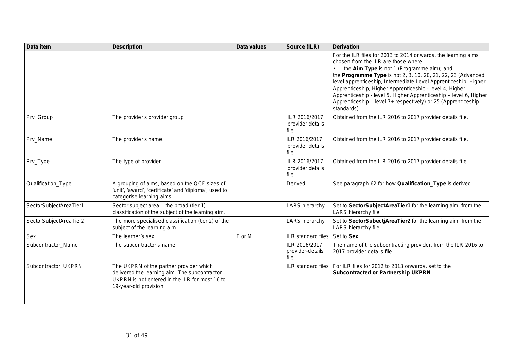| Data item              | <b>Description</b>                                                                                                                                                   | Data values | Source (ILR)                              | <b>Derivation</b>                                                                                                                                                                                                                                                                                                                                                                                                                                                                                     |
|------------------------|----------------------------------------------------------------------------------------------------------------------------------------------------------------------|-------------|-------------------------------------------|-------------------------------------------------------------------------------------------------------------------------------------------------------------------------------------------------------------------------------------------------------------------------------------------------------------------------------------------------------------------------------------------------------------------------------------------------------------------------------------------------------|
|                        |                                                                                                                                                                      |             |                                           | For the ILR files for 2013 to 2014 onwards, the learning aims<br>chosen from the ILR are those where:<br>the Aim Type is not 1 (Programme aim); and<br>the Programme Type is not 2, 3, 10, 20, 21, 22, 23 (Advanced<br>level apprenticeship, Intermediate Level Apprenticeship, Higher<br>Apprenticeship, Higher Apprenticeship - level 4, Higher<br>Apprenticeship - level 5, Higher Apprenticeship - level 6, Higher<br>Apprenticeship - level 7+ respectively) or 25 (Apprenticeship<br>standards) |
| Prv_Group              | The provider's provider group                                                                                                                                        |             | ILR 2016/2017<br>provider details<br>file | Obtained from the ILR 2016 to 2017 provider details file.                                                                                                                                                                                                                                                                                                                                                                                                                                             |
| Prv_Name               | The provider's name.                                                                                                                                                 |             | ILR 2016/2017<br>provider details<br>file | Obtained from the ILR 2016 to 2017 provider details file.                                                                                                                                                                                                                                                                                                                                                                                                                                             |
| Prv_Type               | The type of provider.                                                                                                                                                |             | ILR 2016/2017<br>provider details<br>file | Obtained from the ILR 2016 to 2017 provider details file.                                                                                                                                                                                                                                                                                                                                                                                                                                             |
| Qualification_Type     | A grouping of aims, based on the QCF sizes of<br>'unit', 'award', 'certificate' and 'diploma', used to<br>categorise learning aims.                                  |             | Derived                                   | See paragraph 62 for how Qualification_Type is derived.                                                                                                                                                                                                                                                                                                                                                                                                                                               |
| SectorSubjectAreaTier1 | Sector subject area - the broad (tier 1)<br>classification of the subject of the learning aim.                                                                       |             | <b>LARS</b> hierarchy                     | Set to SectorSubjectAreaTier1 for the learning aim, from the<br>LARS hierarchy file.                                                                                                                                                                                                                                                                                                                                                                                                                  |
| SectorSubjectAreaTier2 | The more specialised classification (tier 2) of the<br>subject of the learning aim.                                                                                  |             | <b>LARS</b> hierarchy                     | Set to SectorSubectjAreaTier2 for the learning aim, from the<br>LARS hierarchy file.                                                                                                                                                                                                                                                                                                                                                                                                                  |
| Sex                    | The learner's sex.                                                                                                                                                   | F or M      | ILR standard files                        | Set to Sex.                                                                                                                                                                                                                                                                                                                                                                                                                                                                                           |
| Subcontractor_Name     | The subcontractor's name.                                                                                                                                            |             | ILR 2016/2017<br>provider-details<br>file | The name of the subcontracting provider, from the ILR 2016 to<br>2017 provider details file.                                                                                                                                                                                                                                                                                                                                                                                                          |
| Subcontractor_UKPRN    | The UKPRN of the partner provider which<br>delivered the learning aim. The subcontractor<br>UKPRN is not entered in the ILR for most 16 to<br>19-year-old provision. |             |                                           | ILR standard files   For ILR files for 2012 to 2013 onwards, set to the<br><b>Subcontracted or Partnership UKPRN.</b>                                                                                                                                                                                                                                                                                                                                                                                 |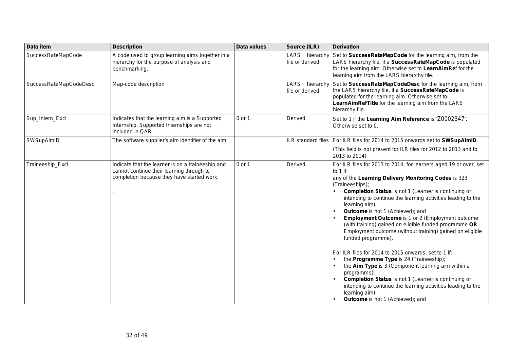| Data item              | <b>Description</b>                                                                                                                           | Data values | Source (ILR)                         | <b>Derivation</b>                                                                                                                                                                                                                                                                                                                                                                                                                                                                                                                                                                                                                                                                                                                                                                                                                                                                                                          |
|------------------------|----------------------------------------------------------------------------------------------------------------------------------------------|-------------|--------------------------------------|----------------------------------------------------------------------------------------------------------------------------------------------------------------------------------------------------------------------------------------------------------------------------------------------------------------------------------------------------------------------------------------------------------------------------------------------------------------------------------------------------------------------------------------------------------------------------------------------------------------------------------------------------------------------------------------------------------------------------------------------------------------------------------------------------------------------------------------------------------------------------------------------------------------------------|
| SuccessRateMapCode     | A code used to group learning aims together in a<br>hierarchy for the purpose of analysis and<br>benchmarking.                               |             | LARS hierarchy<br>file or derived    | Set to SuccessRateMapCode for the learning aim, from the<br>LARS hierarchy file, if a SuccessRateMapCode is populated<br>for the learning aim. Otherwise set to LearnAimRef for the<br>learning aim from the LARS hierarchy file.                                                                                                                                                                                                                                                                                                                                                                                                                                                                                                                                                                                                                                                                                          |
| SuccessRateMapCodeDesc | Map-code description                                                                                                                         |             | LARS<br>hierarchy<br>file or derived | Set to SuccessRateMapCodeDesc for the learning aim, from<br>the LARS hierarchy file, if a SuccessRateMapCode is<br>populated for the learning aim. Otherwise set to<br>LearnAimRefTitle for the learning aim from the LARS<br>hierarchy file.                                                                                                                                                                                                                                                                                                                                                                                                                                                                                                                                                                                                                                                                              |
| Sup_Intern_Excl        | Indicates that the learning aim is a Supported<br>Internship. Supported Internships are not<br>included in QAR.                              | 0 or 1      | Derived                              | Set to 1 if the Learning Aim Reference is 'Z0002347'.<br>Otherwise set to 0.                                                                                                                                                                                                                                                                                                                                                                                                                                                                                                                                                                                                                                                                                                                                                                                                                                               |
| SWSupAimID             | The software supplier's aim identifier of the aim.                                                                                           |             |                                      | ILR standard files   For ILR files for 2014 to 2015 onwards set to SWSupAimID.<br>(This field is not present for ILR files for 2012 to 2013 and to<br>2013 to 2014)                                                                                                                                                                                                                                                                                                                                                                                                                                                                                                                                                                                                                                                                                                                                                        |
| Traineeship_Excl       | Indicate that the learner is on a traineeship and<br>cannot continue their learning through to<br>completion because they have started work. | 0 or 1      | Derived                              | For ILR files for 2013 to 2014, for learners aged 19 or over, set<br>to $1$ if:<br>any of the Learning Delivery Monitoring Codes is 323<br>(Traineeships);<br><b>Completion Status</b> is not 1 (Learner is continuing or<br>intending to continue the learning activities leading to the<br>learning aim);<br>Outcome is not 1 (Achieved); and<br><b>Employment Outcome</b> is 1 or 2 (Employment outcome<br>(with training) gained on eligible funded programme OR<br>Employment outcome (without training) gained on eligible<br>funded programme).<br>For ILR files for 2014 to 2015 onwards, set to 1 if:<br>the Programme Type is 24 (Traineeship);<br>the Aim Type is 3 (Component learning aim within a<br>programme);<br><b>Completion Status</b> is not 1 (Learner is continuing or<br>intending to continue the learning activities leading to the<br>learning aim);<br><b>Outcome</b> is not 1 (Achieved); and |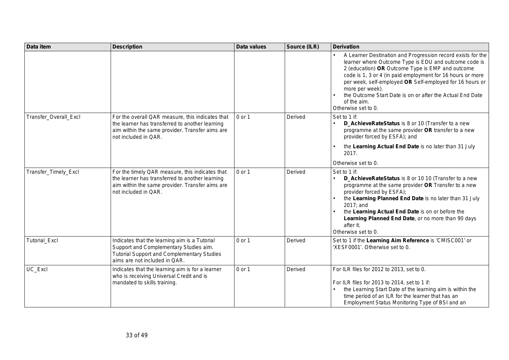| Data item             | <b>Description</b>                                                                                                                                                             | Data values | Source (ILR) | <b>Derivation</b>                                                                                                                                                                                                                                                                                                                                                                                                        |
|-----------------------|--------------------------------------------------------------------------------------------------------------------------------------------------------------------------------|-------------|--------------|--------------------------------------------------------------------------------------------------------------------------------------------------------------------------------------------------------------------------------------------------------------------------------------------------------------------------------------------------------------------------------------------------------------------------|
|                       |                                                                                                                                                                                |             |              | A Learner Destination and Progression record exists for the<br>learner where Outcome Type is EDU and outcome code is<br>2 (education) OR Outcome Type is EMP and outcome<br>code is 1, 3 or 4 (in paid employment for 16 hours or more<br>per week, self-employed OR Self-employed for 16 hours or<br>more per week).<br>the Outcome Start Date is on or after the Actual End Date<br>of the aim.<br>Otherwise set to 0. |
| Transfer_Overall_Excl | For the overall QAR measure, this indicates that<br>the learner has transferred to another learning<br>aim within the same provider. Transfer aims are<br>not included in QAR. | 0 or 1      | Derived      | Set to 1 if:<br>D_AchieveRateStatus is 8 or 10 (Transfer to a new<br>programme at the same provider OR transfer to a new<br>provider forced by ESFA); and                                                                                                                                                                                                                                                                |
|                       |                                                                                                                                                                                |             |              | the Learning Actual End Date is no later than 31 July<br>2017.                                                                                                                                                                                                                                                                                                                                                           |
|                       |                                                                                                                                                                                |             |              | Otherwise set to 0.                                                                                                                                                                                                                                                                                                                                                                                                      |
| Transfer_Timely_Excl  | For the timely QAR measure, this indicates that<br>the learner has transferred to another learning<br>aim within the same provider. Transfer aims are<br>not included in QAR.  | 0 or 1      | Derived      | Set to 1 if:<br>D_AchieveRateStatus is 8 or 10 10 (Transfer to a new<br>programme at the same provider OR Transfer to a new<br>provider forced by ESFA);<br>the Learning Planned End Date is no later than 31 July<br>2017; and<br>the Learning Actual End Date is on or before the<br>Learning Planned End Date, or no more than 90 days<br>after it.<br>Otherwise set to 0.                                            |
| Tutorial_Excl         | Indicates that the learning aim is a Tutorial<br>Support and Complementary Studies aim.<br><b>Tutorial Support and Complementary Studies</b><br>aims are not included in QAR.  | 0 or 1      | Derived      | Set to 1 if the Learning Aim Reference is 'CMISC001' or<br>'XESF0001'. Otherwise set to 0.                                                                                                                                                                                                                                                                                                                               |
| UC_Excl               | Indicates that the learning aim is for a learner<br>who is receiving Universal Credit and is<br>mandated to skills training.                                                   | 0 or 1      | Derived      | For ILR files for 2012 to 2013, set to 0.<br>For ILR files for 2013 to 2014, set to 1 if:<br>the Learning Start Date of the learning aim is within the<br>time period of an ILR for the learner that has an<br>Employment Status Monitoring Type of BSI and an                                                                                                                                                           |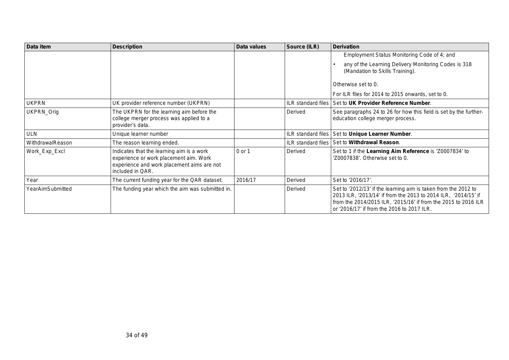| Data item        | <b>Description</b>                                                                                                                                    | Data values | Source (ILR)              | <b>Derivation</b>                                                                                                                                                                                                                                |
|------------------|-------------------------------------------------------------------------------------------------------------------------------------------------------|-------------|---------------------------|--------------------------------------------------------------------------------------------------------------------------------------------------------------------------------------------------------------------------------------------------|
|                  |                                                                                                                                                       |             |                           | Employment Status Monitoring Code of 4; and                                                                                                                                                                                                      |
|                  |                                                                                                                                                       |             |                           | any of the Learning Delivery Monitoring Codes is 318<br>(Mandation to Skills Training).                                                                                                                                                          |
|                  |                                                                                                                                                       |             |                           | Otherwise set to 0.                                                                                                                                                                                                                              |
|                  |                                                                                                                                                       |             |                           | For ILR files for 2014 to 2015 onwards, set to 0.                                                                                                                                                                                                |
| <b>UKPRN</b>     | UK provider reference number (UKPRN)                                                                                                                  |             | <b>ILR</b> standard files | Set to UK Provider Reference Number.                                                                                                                                                                                                             |
| UKPRN_Orig       | The UKPRN for the learning aim before the<br>college merger process was applied to a<br>provider's data.                                              |             | Derived                   | See paragraphs 24 to 26 for how this field is set by the further-<br>education college merger process.                                                                                                                                           |
| <b>ULN</b>       | Unique learner number                                                                                                                                 |             | ILR standard files        | Set to Unique Learner Number.                                                                                                                                                                                                                    |
| WithdrawalReason | The reason learning ended.                                                                                                                            |             | <b>ILR</b> standard files | Set to Withdrawal Reason.                                                                                                                                                                                                                        |
| Work_Exp_Excl    | Indicates that the learning aim is a work<br>experience or work placement aim. Work<br>experience and work placement aims are not<br>included in QAR. | 0 or 1      | Derived                   | Set to 1 if the Learning Aim Reference is 'Z0007834' to<br>'Z0007838'. Otherwise set to 0.                                                                                                                                                       |
| Year             | The current funding year for the QAR dataset.                                                                                                         | 2016/17     | Derived                   | Set to '2016/17'.                                                                                                                                                                                                                                |
| YearAimSubmitted | The funding year which the aim was submitted in.                                                                                                      |             | Derived                   | Set to '2012/13' if the learning aim is taken from the 2012 to<br>2013 ILR, '2013/14' if from the 2013 to 2014 ILR, '2014/15' if<br>from the 2014/2015 ILR, '2015/16' if from the 2015 to 2016 ILR<br>or '2016/17' if from the 2016 to 2017 ILR. |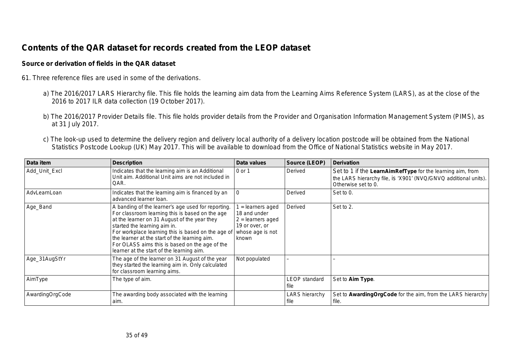# **Contents of the QAR dataset for records created from the LEOP dataset**

#### **Source or derivation of fields in the QAR dataset**

- 61. Three reference files are used in some of the derivations.
	- a) The 2016/2017 LARS Hierarchy file. This file holds the learning aim data from the Learning Aims Reference System (LARS), as at the close of the 2016 to 2017 ILR data collection (19 October 2017).
	- b) The 2016/2017 Provider Details file. This file holds provider details from the Provider and Organisation Information Management System (PIMS), as at 31 July 2017.
	- c) The look-up used to determine the delivery region and delivery local authority of a delivery location postcode will be obtained from the National Statistics Postcode Lookup (UK) May 2017. This will be available to download from the Office of National Statistics website in May 2017.

| Data item       | <b>Description</b>                                                                                                                                                                                                                                                                                                                                                                          | Data values                                                                                           | Source (LEOP)                | <b>Derivation</b>                                                                                                                                    |
|-----------------|---------------------------------------------------------------------------------------------------------------------------------------------------------------------------------------------------------------------------------------------------------------------------------------------------------------------------------------------------------------------------------------------|-------------------------------------------------------------------------------------------------------|------------------------------|------------------------------------------------------------------------------------------------------------------------------------------------------|
| Add_Unit_Excl   | Indicates that the learning aim is an Additional<br>Unit aim. Additional Unit aims are not included in<br>QAR.                                                                                                                                                                                                                                                                              | 0 or 1                                                                                                | Derived                      | Set to 1 if the LearnAimRefType for the learning aim, from<br>the LARS hierarchy file, is 'X901' (NVQ/GNVQ additional units).<br>Otherwise set to 0. |
| AdvLearnLoan    | Indicates that the learning aim is financed by an<br>advanced learner loan.                                                                                                                                                                                                                                                                                                                 |                                                                                                       | Derived                      | Set to 0.                                                                                                                                            |
| Age_Band        | A banding of the learner's age used for reporting.<br>For classroom learning this is based on the age<br>at the learner on 31 August of the year they<br>started the learning aim in.<br>For workplace learning this is based on the age of<br>the learner at the start of the learning aim.<br>For OLASS aims this is based on the age of the<br>learner at the start of the learning aim. | = learners aged<br>18 and under<br>$2 =$ learners aged<br>19 or over, or<br>whose age is not<br>known | Derived                      | Set to 2.                                                                                                                                            |
| Age_31AugStYr   | The age of the learner on 31 August of the year<br>they started the learning aim in. Only calculated<br>for classroom learning aims.                                                                                                                                                                                                                                                        | Not populated                                                                                         |                              |                                                                                                                                                      |
| AimType         | The type of aim.                                                                                                                                                                                                                                                                                                                                                                            |                                                                                                       | <b>LEOP</b> standard<br>file | Set to Aim Type.                                                                                                                                     |
| AwardingOrgCode | The awarding body associated with the learning<br>aim.                                                                                                                                                                                                                                                                                                                                      |                                                                                                       | LARS hierarchy<br>file       | Set to Awarding Org Code for the aim, from the LARS hierarchy<br>file.                                                                               |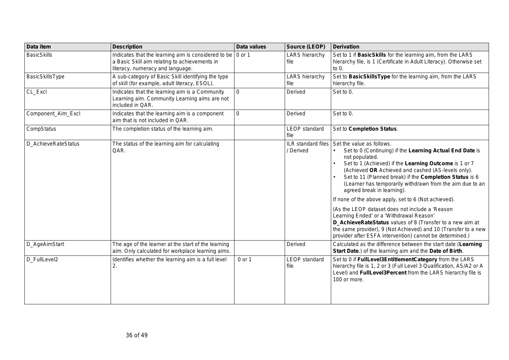| Data item           | <b>Description</b>                                                                                                                                       | Data values | Source (LEOP)                   | <b>Derivation</b>                                                                                                                                                                                                                                                                                                                                                                                                                                                                                                                                                                                                                                                                                                              |
|---------------------|----------------------------------------------------------------------------------------------------------------------------------------------------------|-------------|---------------------------------|--------------------------------------------------------------------------------------------------------------------------------------------------------------------------------------------------------------------------------------------------------------------------------------------------------------------------------------------------------------------------------------------------------------------------------------------------------------------------------------------------------------------------------------------------------------------------------------------------------------------------------------------------------------------------------------------------------------------------------|
| <b>BasicSkills</b>  | Indicates that the learning aim is considered to be $\sqrt{0}$ or 1<br>a Basic Skill aim relating to achievements in<br>literacy, numeracy and language. |             | <b>LARS</b> hierarchy<br>file   | Set to 1 if BasicSkills for the learning aim, from the LARS<br>hierarchy file, is 1 (Certificate in Adult Literacy). Otherwise set<br>to $0$ .                                                                                                                                                                                                                                                                                                                                                                                                                                                                                                                                                                                 |
| BasicSkillsType     | A sub-category of Basic Skill identifying the type<br>of skill (for example, adult literacy, ESOL).                                                      |             | <b>LARS</b> hierarchy<br>file   | Set to BasicSkillsType for the learning aim, from the LARS<br>hierarchy file.                                                                                                                                                                                                                                                                                                                                                                                                                                                                                                                                                                                                                                                  |
| CL_Excl             | Indicates that the learning aim is a Community<br>Learning aim. Community Learning aims are not<br>included in QAR.                                      | $\Omega$    | Derived                         | Set to 0.                                                                                                                                                                                                                                                                                                                                                                                                                                                                                                                                                                                                                                                                                                                      |
| Component_Aim_Excl  | Indicates that the learning aim is a component<br>aim that is not included in QAR.                                                                       | $\mathbf 0$ | Derived                         | Set to 0.                                                                                                                                                                                                                                                                                                                                                                                                                                                                                                                                                                                                                                                                                                                      |
| CompStatus          | The completion status of the learning aim.                                                                                                               |             | <b>LEOP</b> standard<br>file    | Set to Completion Status.                                                                                                                                                                                                                                                                                                                                                                                                                                                                                                                                                                                                                                                                                                      |
| D_AchieveRateStatus | The status of the learning aim for calculating<br>QAR.                                                                                                   |             | ILR standard files<br>/ Derived | Set the value as follows.<br>Set to 0 (Continuing) if the Learning Actual End Date is<br>not populated.<br>Set to 1 (Achieved) if the Learning Outcome is 1 or 7<br>(Achieved OR Achieved and cashed (AS-levels only).<br>Set to 11 (Planned break) if the Completion Status is 6<br>(Learner has temporarily withdrawn from the aim due to an<br>agreed break in learning).<br>If none of the above apply, set to 6 (Not achieved).<br>(As the LEOP dataset does not include a 'Reason<br>Learning Ended' or a 'Withdrawal Reason'<br>D_AchieveRateStatus values of 8 (Transfer to a new aim at<br>the same provider), 9 (Not Achieved) and 10 (Transfer to a new<br>provider after ESFA intervention) cannot be determined.) |
| D_AgeAimStart       | The age of the learner at the start of the learning<br>aim. Only calculated for workplace learning aims.                                                 |             | Derived                         | Calculated as the difference between the start date (Learning<br>Start Date.) of the learning aim and the Date of Birth.                                                                                                                                                                                                                                                                                                                                                                                                                                                                                                                                                                                                       |
| D_FullLevel2        | Identifies whether the learning aim is a full level<br>2.                                                                                                | 0 or 1      | <b>LEOP</b> standard<br>file    | Set to 0 if FullLevel3EntitlementCategory from the LARS<br>hierarchy file is 1, 2 or 3 (Full Level 3 Qualification, AS/A2 or A<br>Level) and FullLevel3Percent from the LARS hierarchy file is<br>100 or more.                                                                                                                                                                                                                                                                                                                                                                                                                                                                                                                 |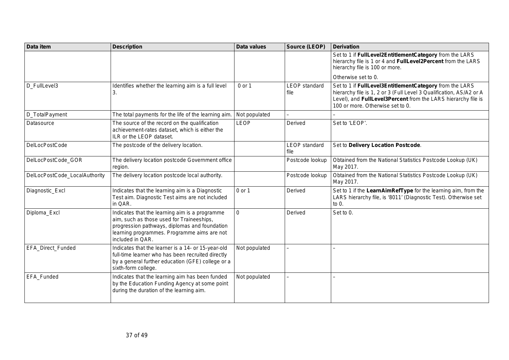| Data item                     | <b>Description</b>                                                                                                                                                                                              | <b>Data values</b> | Source (LEOP)                | <b>Derivation</b>                                                                                                                                                                                                                   |
|-------------------------------|-----------------------------------------------------------------------------------------------------------------------------------------------------------------------------------------------------------------|--------------------|------------------------------|-------------------------------------------------------------------------------------------------------------------------------------------------------------------------------------------------------------------------------------|
|                               |                                                                                                                                                                                                                 |                    |                              | Set to 1 if FullLevel2EntitlementCategory from the LARS<br>hierarchy file is 1 or 4 and FullLevel2Percent from the LARS<br>hierarchy file is 100 or more.                                                                           |
|                               |                                                                                                                                                                                                                 |                    |                              | Otherwise set to 0.                                                                                                                                                                                                                 |
| D_FullLevel3                  | Identifies whether the learning aim is a full level<br>3.                                                                                                                                                       | 0 or 1             | <b>LEOP</b> standard<br>file | Set to 1 if FullLevel3EntitlementCategory from the LARS<br>hierarchy file is 1, 2 or 3 (Full Level 3 Qualification, AS/A2 or A<br>Level), and FullLevel3Percent from the LARS hierarchy file is<br>100 or more. Otherwise set to 0. |
| D_TotalPayment                | The total payments for the life of the learning aim.                                                                                                                                                            | Not populated      | $\overline{\phantom{0}}$     |                                                                                                                                                                                                                                     |
| Datasource                    | The source of the record on the qualification<br>achievement-rates dataset, which is either the<br>ILR or the LEOP dataset.                                                                                     | <b>LEOP</b>        | Derived                      | Set to 'LEOP'.                                                                                                                                                                                                                      |
| <b>DelLocPostCode</b>         | The postcode of the delivery location.                                                                                                                                                                          |                    | LEOP standard<br>file        | Set to Delivery Location Postcode.                                                                                                                                                                                                  |
| DelLocPostCode_GOR            | The delivery location postcode Government office<br>region.                                                                                                                                                     |                    | Postcode lookup              | Obtained from the National Statistics Postcode Lookup (UK)<br>May 2017.                                                                                                                                                             |
| DelLocPostCode_LocalAuthority | The delivery location postcode local authority.                                                                                                                                                                 |                    | Postcode lookup              | Obtained from the National Statistics Postcode Lookup (UK)<br>May 2017.                                                                                                                                                             |
| Diagnostic_Excl               | Indicates that the learning aim is a Diagnostic<br>Test aim. Diagnostic Test aims are not included<br>in QAR.                                                                                                   | 0 or 1             | Derived                      | Set to 1 if the LearnAimRefType for the learning aim, from the<br>LARS hierarchy file, is '8011' (Diagnostic Test). Otherwise set<br>to 0.                                                                                          |
| Diploma_Excl                  | Indicates that the learning aim is a programme<br>aim, such as those used for Traineeships,<br>progression pathways, diplomas and foundation<br>learning programmes. Programme aims are not<br>included in QAR. | 0                  | Derived                      | Set to 0.                                                                                                                                                                                                                           |
| EFA_Direct_Funded             | Indicates that the learner is a 14- or 15-year-old<br>full-time learner who has been recruited directly<br>by a general further education (GFE) college or a<br>sixth-form college.                             | Not populated      |                              |                                                                                                                                                                                                                                     |
| EFA_Funded                    | Indicates that the learning aim has been funded<br>by the Education Funding Agency at some point<br>during the duration of the learning aim.                                                                    | Not populated      |                              |                                                                                                                                                                                                                                     |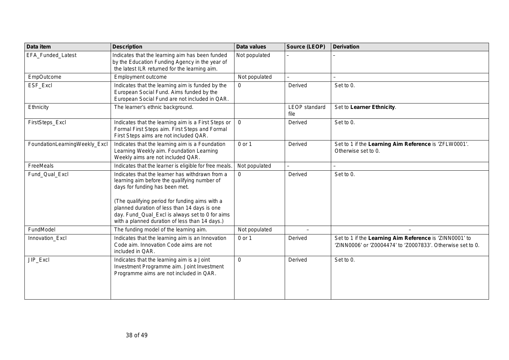| Data item                     | <b>Description</b>                                                                                                                                                                                                                                                                                                                       | Data values   | Source (LEOP)                | <b>Derivation</b>                                                                                                      |
|-------------------------------|------------------------------------------------------------------------------------------------------------------------------------------------------------------------------------------------------------------------------------------------------------------------------------------------------------------------------------------|---------------|------------------------------|------------------------------------------------------------------------------------------------------------------------|
| EFA_Funded_Latest             | Indicates that the learning aim has been funded<br>by the Education Funding Agency in the year of<br>the latest ILR returned for the learning aim.                                                                                                                                                                                       | Not populated |                              |                                                                                                                        |
| EmpOutcome                    | Employment outcome                                                                                                                                                                                                                                                                                                                       | Not populated |                              | $\overline{\phantom{0}}$                                                                                               |
| ESF_Excl                      | Indicates that the learning aim is funded by the<br>European Social Fund. Aims funded by the<br>European Social Fund are not included in QAR.                                                                                                                                                                                            | $\Omega$      | Derived                      | Set to 0.                                                                                                              |
| Ethnicity                     | The learner's ethnic background.                                                                                                                                                                                                                                                                                                         |               | <b>LEOP</b> standard<br>file | Set to Learner Ethnicity.                                                                                              |
| FirstSteps_Excl               | Indicates that the learning aim is a First Steps or<br>Formal First Steps aim. First Steps and Formal<br>First Steps aims are not included QAR.                                                                                                                                                                                          | $\mathbf 0$   | Derived                      | Set to 0.                                                                                                              |
| FoundationLearningWeekly_Excl | Indicates that the learning aim is a Foundation<br>Learning Weekly aim. Foundation Learning<br>Weekly aims are not included QAR.                                                                                                                                                                                                         | 0 or 1        | Derived                      | Set to 1 if the Learning Aim Reference is 'ZFLW0001'.<br>Otherwise set to 0.                                           |
| FreeMeals                     | Indicates that the learner is eligible for free meals.                                                                                                                                                                                                                                                                                   | Not populated |                              | $\overline{\phantom{0}}$                                                                                               |
| Fund Qual Excl                | Indicates that the learner has withdrawn from a<br>learning aim before the qualifying number of<br>days for funding has been met.<br>(The qualifying period for funding aims with a<br>planned duration of less than 14 days is one<br>day. Fund_Qual_Excl is always set to 0 for aims<br>with a planned duration of less than 14 days.) | $\Omega$      | Derived                      | Set to 0.                                                                                                              |
| FundModel                     | The funding model of the learning aim.                                                                                                                                                                                                                                                                                                   | Not populated | $\overline{\phantom{m}}$     |                                                                                                                        |
| Innovation_Excl               | Indicates that the learning aim is an Innovation<br>Code aim. Innovation Code aims are not<br>included in QAR.                                                                                                                                                                                                                           | 0 or 1        | Derived                      | Set to 1 if the Learning Aim Reference is 'ZINN0001' to<br>'ZINN0006' or 'Z0004474' to 'Z0007833'. Otherwise set to 0. |
| JIP_Excl                      | Indicates that the learning aim is a Joint<br>Investment Programme aim. Joint Investment<br>Programme aims are not included in QAR.                                                                                                                                                                                                      | $\Omega$      | Derived                      | Set to 0.                                                                                                              |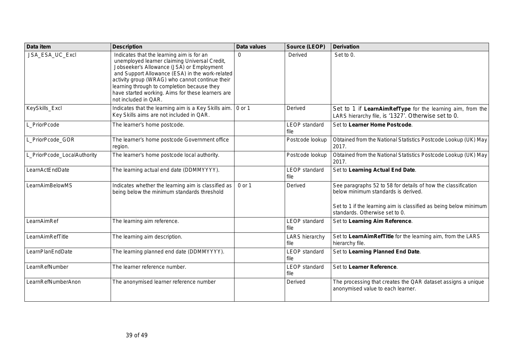| Data item                   | <b>Description</b>                                                                                                                                                                                                                                                                                                                                                        | Data values | Source (LEOP)                 | <b>Derivation</b>                                                                                                                                                                                           |
|-----------------------------|---------------------------------------------------------------------------------------------------------------------------------------------------------------------------------------------------------------------------------------------------------------------------------------------------------------------------------------------------------------------------|-------------|-------------------------------|-------------------------------------------------------------------------------------------------------------------------------------------------------------------------------------------------------------|
| JSA_ESA_UC_Excl             | Indicates that the learning aim is for an<br>unemployed learner claiming Universal Credit,<br>Jobseeker's Allowance (JSA) or Employment<br>and Support Allowance (ESA) in the work-related<br>activity group (WRAG) who cannot continue their<br>learning through to completion because they<br>have started working. Aims for these learners are<br>not included in QAR. | $\Omega$    | Derived                       | Set to 0.                                                                                                                                                                                                   |
| KeySkills_Excl              | Indicates that the learning aim is a Key Skills aim.   0 or 1<br>Key Skills aims are not included in QAR.                                                                                                                                                                                                                                                                 |             | Derived                       | Set to 1 if LearnAimRefType for the learning aim, from the<br>LARS hierarchy file, is '1327'. Otherwise set to 0.                                                                                           |
| L_PriorPcode                | The learner's home postcode.                                                                                                                                                                                                                                                                                                                                              |             | <b>LEOP</b> standard<br>file  | Set to Learner Home Postcode.                                                                                                                                                                               |
| L_PriorPcode_GOR            | The learner's home postcode Government office<br>region.                                                                                                                                                                                                                                                                                                                  |             | Postcode lookup               | Obtained from the National Statistics Postcode Lookup (UK) May<br>2017.                                                                                                                                     |
| L_PriorPcode_LocalAuthority | The learner's home postcode local authority.                                                                                                                                                                                                                                                                                                                              |             | Postcode lookup               | Obtained from the National Statistics Postcode Lookup (UK) May<br>2017.                                                                                                                                     |
| LearnActEndDate             | The learning actual end date (DDMMYYYY).                                                                                                                                                                                                                                                                                                                                  |             | <b>LEOP</b> standard<br>file  | Set to Learning Actual End Date.                                                                                                                                                                            |
| LearnAimBelowMS             | Indicates whether the learning aim is classified as<br>being below the minimum standards threshold                                                                                                                                                                                                                                                                        | 0 or 1      | Derived                       | See paragraphs 52 to 58 for details of how the classification<br>below minimum standards is derived.<br>Set to 1 if the learning aim is classified as being below minimum<br>standards. Otherwise set to 0. |
| LearnAimRef                 | The learning aim reference.                                                                                                                                                                                                                                                                                                                                               |             | <b>LEOP</b> standard<br>file  | Set to Learning Aim Reference.                                                                                                                                                                              |
| LearnAimRefTitle            | The learning aim description.                                                                                                                                                                                                                                                                                                                                             |             | <b>LARS</b> hierarchy<br>file | Set to LearnAimRefTitle for the learning aim, from the LARS<br>hierarchy file.                                                                                                                              |
| LearnPlanEndDate            | The learning planned end date (DDMMYYYY).                                                                                                                                                                                                                                                                                                                                 |             | <b>LEOP</b> standard<br>file  | Set to Learning Planned End Date.                                                                                                                                                                           |
| LearnRefNumber              | The learner reference number.                                                                                                                                                                                                                                                                                                                                             |             | <b>LEOP</b> standard<br>file  | Set to Learner Reference.                                                                                                                                                                                   |
| LearnRefNumberAnon          | The anonymised learner reference number                                                                                                                                                                                                                                                                                                                                   |             | Derived                       | The processing that creates the QAR dataset assigns a unique<br>anonymised value to each learner.                                                                                                           |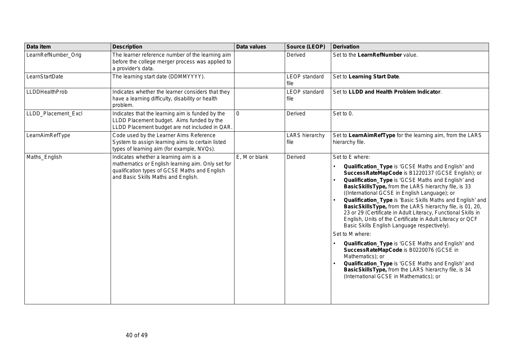| Data item             | <b>Description</b>                                                                                                                                                                 | Data values   | Source (LEOP)                 | <b>Derivation</b>                                                                                                                                                                                                                                                                                                                                                                                                                                                                                                                                                                                                                                                                                                                                                                                                                                                                                    |
|-----------------------|------------------------------------------------------------------------------------------------------------------------------------------------------------------------------------|---------------|-------------------------------|------------------------------------------------------------------------------------------------------------------------------------------------------------------------------------------------------------------------------------------------------------------------------------------------------------------------------------------------------------------------------------------------------------------------------------------------------------------------------------------------------------------------------------------------------------------------------------------------------------------------------------------------------------------------------------------------------------------------------------------------------------------------------------------------------------------------------------------------------------------------------------------------------|
| LearnRefNumber_Orig   | The learner reference number of the learning aim<br>before the college merger process was applied to<br>a provider's data.                                                         |               | Derived                       | Set to the LearnRefNumber value.                                                                                                                                                                                                                                                                                                                                                                                                                                                                                                                                                                                                                                                                                                                                                                                                                                                                     |
| LearnStartDate        | The learning start date (DDMMYYYY).                                                                                                                                                |               | <b>LEOP</b> standard<br>file  | Set to Learning Start Date.                                                                                                                                                                                                                                                                                                                                                                                                                                                                                                                                                                                                                                                                                                                                                                                                                                                                          |
| <b>LLDDHealthProb</b> | Indicates whether the learner considers that they<br>have a learning difficulty, disability or health<br>problem.                                                                  |               | <b>LEOP</b> standard<br>file  | Set to LLDD and Health Problem Indicator.                                                                                                                                                                                                                                                                                                                                                                                                                                                                                                                                                                                                                                                                                                                                                                                                                                                            |
| LLDD_Placement_Excl   | Indicates that the learning aim is funded by the<br>LLDD Placement budget. Aims funded by the<br>LLDD Placement budget are not included in QAR.                                    | $\Omega$      | Derived                       | Set to 0.                                                                                                                                                                                                                                                                                                                                                                                                                                                                                                                                                                                                                                                                                                                                                                                                                                                                                            |
| LearnAimRefType       | Code used by the Learner Aims Reference<br>System to assign learning aims to certain listed<br>types of learning aim (for example, NVQs).                                          |               | <b>LARS</b> hierarchy<br>file | Set to LearnAimRefType for the learning aim, from the LARS<br>hierarchy file.                                                                                                                                                                                                                                                                                                                                                                                                                                                                                                                                                                                                                                                                                                                                                                                                                        |
| Maths_English         | Indicates whether a learning aim is a<br>mathematics or English learning aim. Only set for<br>qualification types of GCSE Maths and English<br>and Basic Skills Maths and English. | E, M or blank | Derived                       | Set to E where:<br>Qualification_Type is 'GCSE Maths and English' and<br>SuccessRateMapCode is B1220137 (GCSE English); or<br>Qualification_Type is 'GCSE Maths and English' and<br>BasicSkillsType, from the LARS hierarchy file, is 33<br>((International GCSE in English Language); or<br>Qualification_Type is 'Basic Skills Maths and English' and<br>BasicSkillsType, from the LARS hierarchy file, is 01, 20,<br>23 or 29 (Certificate in Adult Literacy, Functional Skills in<br>English, Units of the Certificate in Adult Literacy or QCF<br>Basic Skills English Language respectively).<br>Set to M where:<br>Qualification_Type is 'GCSE Maths and English' and<br>SuccessRateMapCode is B0220076 (GCSE in<br>Mathematics); or<br>Qualification_Type is 'GCSE Maths and English' and<br>BasicSkillsType, from the LARS hierarchy file, is 34<br>(International GCSE in Mathematics); or |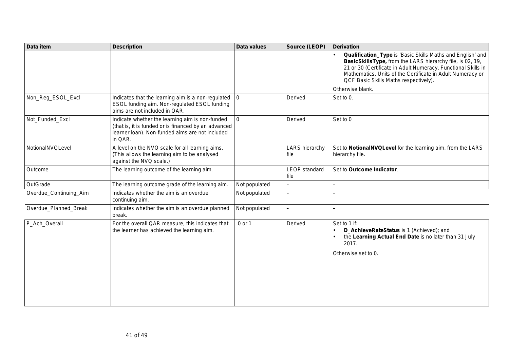| Data item              | <b>Description</b>                                                                                                                                                    | Data values    | <b>Source (LEOP)</b>          | <b>Derivation</b>                                                                                                                                                                                                                                                                                                   |
|------------------------|-----------------------------------------------------------------------------------------------------------------------------------------------------------------------|----------------|-------------------------------|---------------------------------------------------------------------------------------------------------------------------------------------------------------------------------------------------------------------------------------------------------------------------------------------------------------------|
|                        |                                                                                                                                                                       |                |                               | Qualification_Type is 'Basic Skills Maths and English' and<br>BasicSkillsType, from the LARS hierarchy file, is 02, 19,<br>21 or 30 (Certificate in Adult Numeracy, Functional Skills in<br>Mathematics, Units of the Certificate in Adult Numeracy or<br>QCF Basic Skills Maths respectively).<br>Otherwise blank. |
| Non_Reg_ESOL_Excl      | Indicates that the learning aim is a non-regulated<br>ESOL funding aim. Non-regulated ESOL funding<br>aims are not included in QAR.                                   | $\overline{0}$ | Derived                       | Set to 0.                                                                                                                                                                                                                                                                                                           |
| Not_Funded_Excl        | Indicate whether the learning aim is non-funded<br>(that is, it is funded or is financed by an advanced<br>learner loan). Non-funded aims are not included<br>in QAR. | $\mathbf{0}$   | Derived                       | Set to 0                                                                                                                                                                                                                                                                                                            |
| NotionalNVQLevel       | A level on the NVQ scale for all learning aims.<br>(This allows the learning aim to be analysed<br>against the NVQ scale.)                                            |                | <b>LARS</b> hierarchy<br>file | Set to NotionalNVQLevel for the learning aim, from the LARS<br>hierarchy file.                                                                                                                                                                                                                                      |
| Outcome                | The learning outcome of the learning aim.                                                                                                                             |                | <b>LEOP</b> standard<br>file  | Set to Outcome Indicator.                                                                                                                                                                                                                                                                                           |
| OutGrade               | The learning outcome grade of the learning aim.                                                                                                                       | Not populated  | $\overline{\phantom{0}}$      | $\overline{\phantom{0}}$                                                                                                                                                                                                                                                                                            |
| Overdue_Continuing_Aim | Indicates whether the aim is an overdue<br>continuing aim.                                                                                                            | Not populated  |                               |                                                                                                                                                                                                                                                                                                                     |
| Overdue_Planned_Break  | Indicates whether the aim is an overdue planned<br>break.                                                                                                             | Not populated  | $\overline{\phantom{0}}$      |                                                                                                                                                                                                                                                                                                                     |
| P_Ach_Overall          | For the overall QAR measure, this indicates that<br>the learner has achieved the learning aim.                                                                        | 0 or 1         | Derived                       | Set to 1 if:<br>D_AchieveRateStatus is 1 (Achieved); and<br>the Learning Actual End Date is no later than 31 July<br>2017.<br>Otherwise set to 0.                                                                                                                                                                   |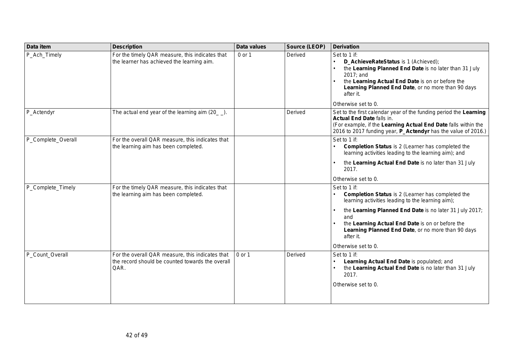| Data item          | <b>Description</b>                                                                                           | Data values | Source (LEOP) | <b>Derivation</b>                                                                                                                                                                                                                                                                                                                             |
|--------------------|--------------------------------------------------------------------------------------------------------------|-------------|---------------|-----------------------------------------------------------------------------------------------------------------------------------------------------------------------------------------------------------------------------------------------------------------------------------------------------------------------------------------------|
| P_Ach_Timely       | For the timely QAR measure, this indicates that<br>the learner has achieved the learning aim.                | 0 or 1      | Derived       | Set to 1 if:<br>D_AchieveRateStatus is 1 (Achieved);<br>the Learning Planned End Date is no later than 31 July<br>2017; and<br>the Learning Actual End Date is on or before the<br>Learning Planned End Date, or no more than 90 days<br>after it.<br>Otherwise set to 0.                                                                     |
| P_Actendyr         | The actual end year of the learning aim $(20$ $)$ .                                                          |             | Derived       | Set to the first calendar year of the funding period the Learning<br><b>Actual End Date falls in.</b><br>(For example, if the Learning Actual End Date falls within the<br>2016 to 2017 funding year, P_Actendyr has the value of 2016.)                                                                                                      |
| P_Complete_Overall | For the overall QAR measure, this indicates that<br>the learning aim has been completed.                     |             |               | Set to 1 if:<br><b>Completion Status</b> is 2 (Learner has completed the<br>learning activities leading to the learning aim); and<br>the Learning Actual End Date is no later than 31 July<br>2017.<br>Otherwise set to 0.                                                                                                                    |
| P_Complete_Timely  | For the timely QAR measure, this indicates that<br>the learning aim has been completed.                      |             |               | Set to 1 if:<br><b>Completion Status</b> is 2 (Learner has completed the<br>learning activities leading to the learning aim);<br>the Learning Planned End Date is no later 31 July 2017;<br>and<br>the Learning Actual End Date is on or before the<br>Learning Planned End Date, or no more than 90 days<br>after it.<br>Otherwise set to 0. |
| P_Count_Overall    | For the overall QAR measure, this indicates that<br>the record should be counted towards the overall<br>QAR. | 0 or 1      | Derived       | Set to 1 if:<br>Learning Actual End Date is populated; and<br>the Learning Actual End Date is no later than 31 July<br>2017.<br>Otherwise set to 0.                                                                                                                                                                                           |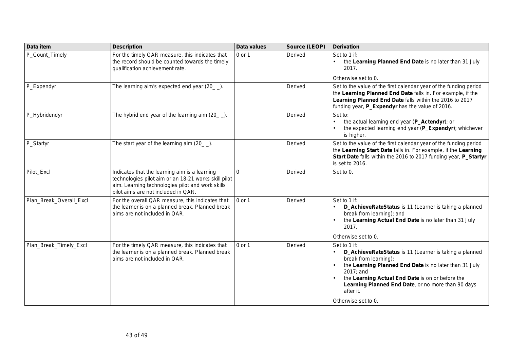| Data item               | <b>Description</b>                                                                                                                                                                               | Data values | Source (LEOP) | <b>Derivation</b>                                                                                                                                                                                                                                                                                                    |
|-------------------------|--------------------------------------------------------------------------------------------------------------------------------------------------------------------------------------------------|-------------|---------------|----------------------------------------------------------------------------------------------------------------------------------------------------------------------------------------------------------------------------------------------------------------------------------------------------------------------|
| P_Count_Timely          | For the timely QAR measure, this indicates that<br>the record should be counted towards the timely<br>qualification achievement rate.                                                            | 0 or 1      | Derived       | Set to 1 if:<br>the Learning Planned End Date is no later than 31 July<br>2017.                                                                                                                                                                                                                                      |
|                         |                                                                                                                                                                                                  |             |               | Otherwise set to 0.                                                                                                                                                                                                                                                                                                  |
| P_Expendyr              | The learning aim's expected end year (20_).                                                                                                                                                      |             | Derived       | Set to the value of the first calendar year of the funding period<br>the Learning Planned End Date falls in. For example, if the<br>Learning Planned End Date falls within the 2016 to 2017<br>funding year, P_Expendyr has the value of 2016.                                                                       |
| P_Hybridendyr           | The hybrid end year of the learning aim $(20$ $)$ .                                                                                                                                              |             | Derived       | Set to:<br>the actual learning end year (P_Actendyr); or<br>the expected learning end year (P_Expendyr); whichever<br>is higher.                                                                                                                                                                                     |
| P_Startyr               | The start year of the learning aim $(20 \_$ .                                                                                                                                                    |             | Derived       | Set to the value of the first calendar year of the funding period<br>the Learning Start Date falls in. For example, if the Learning<br>Start Date falls within the 2016 to 2017 funding year, P_Startyr<br>is set to 2016.                                                                                           |
| Pilot_Excl              | Indicates that the learning aim is a learning<br>technologies pilot aim or an 18-21 works skill pilot<br>aim. Learning technologies pilot and work skills<br>pilot aims are not included in QAR. | $\Omega$    | Derived       | Set to 0.                                                                                                                                                                                                                                                                                                            |
| Plan_Break_Overall_Excl | For the overall QAR measure, this indicates that<br>the learner is on a planned break. Planned break<br>aims are not included in QAR.                                                            | 0 or 1      | Derived       | Set to 1 if:<br>D_AchieveRateStatus is 11 (Learner is taking a planned<br>break from learning); and<br>the Learning Actual End Date is no later than 31 July<br>2017.<br>Otherwise set to 0.                                                                                                                         |
| Plan_Break_Timely_Excl  | For the timely QAR measure, this indicates that<br>the learner is on a planned break. Planned break<br>aims are not included in QAR.                                                             | 0 or 1      | Derived       | Set to 1 if:<br>D_AchieveRateStatus is 11 (Learner is taking a planned<br>break from learning);<br>the Learning Planned End Date is no later than 31 July<br>2017; and<br>the Learning Actual End Date is on or before the<br>Learning Planned End Date, or no more than 90 days<br>after it.<br>Otherwise set to 0. |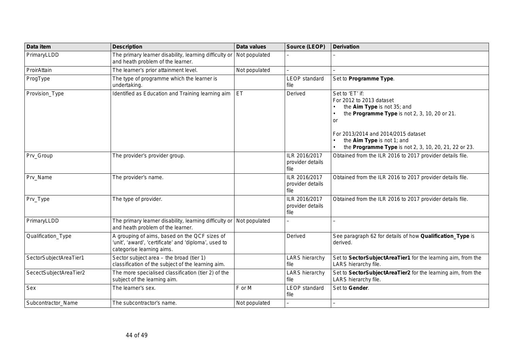| Data item              | <b>Description</b>                                                                                                                  | Data values   | Source (LEOP)                             | <b>Derivation</b>                                                                                                                                                                                                                                               |
|------------------------|-------------------------------------------------------------------------------------------------------------------------------------|---------------|-------------------------------------------|-----------------------------------------------------------------------------------------------------------------------------------------------------------------------------------------------------------------------------------------------------------------|
| PrimaryLLDD            | The primary learner disability, learning difficulty or<br>and heath problem of the learner.                                         | Not populated |                                           |                                                                                                                                                                                                                                                                 |
| ProirAttain            | The learner's prior attainment level.                                                                                               | Not populated |                                           |                                                                                                                                                                                                                                                                 |
| ProgType               | The type of programme which the learner is<br>undertaking.                                                                          |               | <b>LEOP</b> standard<br>file              | Set to Programme Type.                                                                                                                                                                                                                                          |
| Provision_Type         | Identified as Education and Training learning aim                                                                                   | ET            | Derived                                   | Set to 'ET' if:<br>For 2012 to 2013 dataset<br>the Aim Type is not 35; and<br>the Programme Type is not 2, 3, 10, 20 or 21.<br>or<br>For 2013/2014 and 2014/2015 dataset<br>the Aim Type is not 1; and<br>the Programme Type is not 2, 3, 10, 20, 21, 22 or 23. |
| Prv_Group              | The provider's provider group.                                                                                                      |               | ILR 2016/2017<br>provider details<br>file | Obtained from the ILR 2016 to 2017 provider details file.                                                                                                                                                                                                       |
| Prv_Name               | The provider's name.                                                                                                                |               | ILR 2016/2017<br>provider details<br>file | Obtained from the ILR 2016 to 2017 provider details file.                                                                                                                                                                                                       |
| Prv_Type               | The type of provider.                                                                                                               |               | ILR 2016/2017<br>provider details<br>file | Obtained from the ILR 2016 to 2017 provider details file.                                                                                                                                                                                                       |
| PrimaryLLDD            | The primary learner disability, learning difficulty or   Not populated<br>and heath problem of the learner.                         |               |                                           |                                                                                                                                                                                                                                                                 |
| Qualification_Type     | A grouping of aims, based on the QCF sizes of<br>'unit', 'award', 'certificate' and 'diploma', used to<br>categorise learning aims. |               | Derived                                   | See paragraph 62 for details of how Qualification_Type is<br>derived.                                                                                                                                                                                           |
| SectorSubjectAreaTier1 | Sector subject area - the broad (tier 1)<br>classification of the subject of the learning aim.                                      |               | <b>LARS</b> hierarchy<br>file             | Set to SectorSubjectAreaTier1 for the learning aim, from the<br>LARS hierarchy file.                                                                                                                                                                            |
| SecectSubjectAreaTier2 | The more specialised classification (tier 2) of the<br>subject of the learning aim.                                                 |               | <b>LARS hierarchy</b><br>file             | Set to SectorSubjectAreaTier2 for the learning aim, from the<br>LARS hierarchy file.                                                                                                                                                                            |
| Sex                    | The learner's sex.                                                                                                                  | F or M        | <b>LEOP</b> standard<br>file              | Set to Gender.                                                                                                                                                                                                                                                  |
| Subcontractor_Name     | The subcontractor's name.                                                                                                           | Not populated |                                           |                                                                                                                                                                                                                                                                 |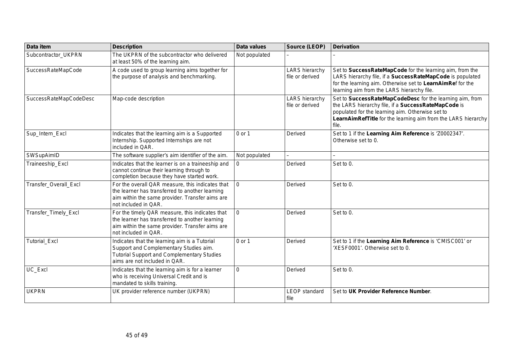| Data item              | <b>Description</b>                                                                                                                                                             | Data values   | Source (LEOP)                            | <b>Derivation</b>                                                                                                                                                                                                                             |
|------------------------|--------------------------------------------------------------------------------------------------------------------------------------------------------------------------------|---------------|------------------------------------------|-----------------------------------------------------------------------------------------------------------------------------------------------------------------------------------------------------------------------------------------------|
| Subcontractor_UKPRN    | The UKPRN of the subcontractor who delivered<br>at least 50% of the learning aim.                                                                                              | Not populated |                                          |                                                                                                                                                                                                                                               |
| SuccessRateMapCode     | A code used to group learning aims together for<br>the purpose of analysis and benchmarking.                                                                                   |               | <b>LARS</b> hierarchy<br>file or derived | Set to SuccessRateMapCode for the learning aim, from the<br>LARS hierarchy file, if a SuccessRateMapCode is populated<br>for the learning aim. Otherwise set to LearnAimRef for the<br>learning aim from the LARS hierarchy file.             |
| SuccessRateMapCodeDesc | Map-code description                                                                                                                                                           |               | <b>LARS</b> hierarchy<br>file or derived | Set to SuccessRateMapCodeDesc for the learning aim, from<br>the LARS hierarchy file, if a SuccessRateMapCode is<br>populated for the learning aim. Otherwise set to<br>LearnAimRefTitle for the learning aim from the LARS hierarchy<br>file. |
| Sup_Intern_Excl        | Indicates that the learning aim is a Supported<br>Internship. Supported Internships are not<br>included in QAR.                                                                | 0 or 1        | Derived                                  | Set to 1 if the Learning Aim Reference is 'Z0002347'.<br>Otherwise set to 0.                                                                                                                                                                  |
| SWSupAimID             | The software supplier's aim identifier of the aim.                                                                                                                             | Not populated | L.                                       |                                                                                                                                                                                                                                               |
| Traineeship_Excl       | Indicates that the learner is on a traineeship and<br>cannot continue their learning through to<br>completion because they have started work.                                  | $\Omega$      | Derived                                  | Set to 0.                                                                                                                                                                                                                                     |
| Transfer_Overall_Excl  | For the overall QAR measure, this indicates that<br>the learner has transferred to another learning<br>aim within the same provider. Transfer aims are<br>not included in QAR. | $\Omega$      | Derived                                  | Set to 0.                                                                                                                                                                                                                                     |
| Transfer_Timely_Excl   | For the timely QAR measure, this indicates that<br>the learner has transferred to another learning<br>aim within the same provider. Transfer aims are<br>not included in QAR.  | $\mathbf 0$   | Derived                                  | Set to 0.                                                                                                                                                                                                                                     |
| <b>Tutorial_Excl</b>   | Indicates that the learning aim is a Tutorial<br>Support and Complementary Studies aim.<br><b>Tutorial Support and Complementary Studies</b><br>aims are not included in QAR.  | $0$ or 1      | Derived                                  | Set to 1 if the Learning Aim Reference is 'CMISC001' or<br>'XESF0001'. Otherwise set to 0.                                                                                                                                                    |
| UC_Excl                | Indicates that the learning aim is for a learner<br>who is receiving Universal Credit and is<br>mandated to skills training.                                                   | 0             | Derived                                  | Set to 0.                                                                                                                                                                                                                                     |
| <b>UKPRN</b>           | UK provider reference number (UKPRN)                                                                                                                                           |               | <b>LEOP</b> standard<br>file             | Set to UK Provider Reference Number.                                                                                                                                                                                                          |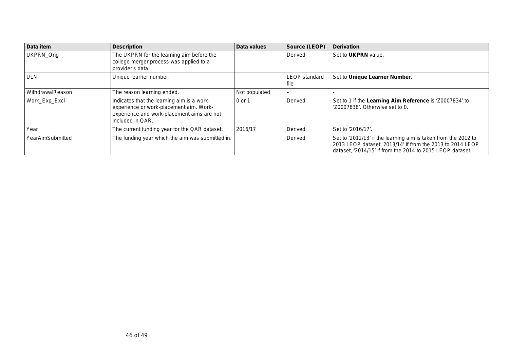| Data item        | <b>Description</b>                                                                                                                                      | Data values   | Source (LEOP)                | <b>Derivation</b>                                                                                                                                                                        |
|------------------|---------------------------------------------------------------------------------------------------------------------------------------------------------|---------------|------------------------------|------------------------------------------------------------------------------------------------------------------------------------------------------------------------------------------|
| UKPRN_Orig       | The UKPRN for the learning aim before the<br>college merger process was applied to a<br>provider's data.                                                |               | Derived                      | Set to <b>UKPRN</b> value.                                                                                                                                                               |
| <b>ULN</b>       | Unique learner number.                                                                                                                                  |               | <b>LEOP</b> standard<br>file | Set to Unique Learner Number.                                                                                                                                                            |
| WithdrawalReason | The reason learning ended.                                                                                                                              | Not populated | -                            |                                                                                                                                                                                          |
| Work_Exp_Excl    | Indicates that the learning aim is a work-<br>experience or work-placement aim. Work-<br>experience and work-placement aims are not<br>included in QAR. | 0 or 1        | Derived                      | Set to 1 if the Learning Aim Reference is 'Z0007834' to<br>'Z0007838'. Otherwise set to 0.                                                                                               |
| Year             | The current funding year for the QAR dataset.                                                                                                           | 2016/17       | Derived                      | Set to '2016/17'.                                                                                                                                                                        |
| YearAimSubmitted | The funding year which the aim was submitted in.                                                                                                        |               | Derived                      | Set to '2012/13' if the learning aim is taken from the 2012 to<br>2013 LEOP dataset, 2013/14' if from the 2013 to 2014 LEOP<br>dataset, '2014/15' if from the 2014 to 2015 LEOP dataset. |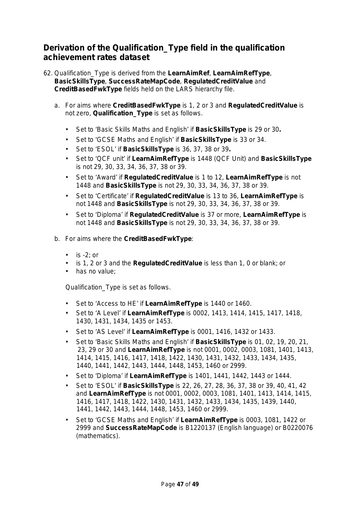## <span id="page-46-0"></span>**Derivation of the Qualification\_Type field in the qualification achievement rates dataset**

- 62. Qualification\_Type is derived from the **LearnAimRef**, **LearnAimRefType**, **BasicSkillsType**, **SuccessRateMapCode**, **RegulatedCreditValue** and **CreditBasedFwkType** fields held on the LARS hierarchy file.
	- a. For aims where **CreditBasedFwkType** is 1, 2 or 3 and **RegulatedCreditValue** is not zero, **Qualification\_Type** is set as follows.
		- Set to 'Basic Skills Maths and English' if **BasicSkillsType** is 29 or 30**.**
		- Set to 'GCSE Maths and English' if **BasicSkillsType** is 33 or 34.
		- Set to 'ESOL' if **BasicSkillsType** is 36, 37, 38 or 39**.**
		- Set to 'QCF unit' if **LearnAimRefType** is 1448 (QCF Unit) and **BasicSkillsType**  is not 29, 30, 33, 34, 36, 37, 38 or 39.
		- Set to 'Award' if **RegulatedCreditValue** is 1 to 12, **LearnAimRefType** is not 1448 and **BasicSkillsType** is not 29, 30, 33, 34, 36, 37, 38 or 39.
		- Set to 'Certificate' if **RegulatedCreditValue** is 13 to 36, **LearnAimRefType** is not 1448 and **BasicSkillsType** is not 29, 30, 33, 34, 36, 37, 38 or 39.
		- Set to 'Diploma' if **RegulatedCreditValue** is 37 or more, **LearnAimRefType** is not 1448 and **BasicSkillsType** is not 29, 30, 33, 34, 36, 37, 38 or 39.
	- b. For aims where the **CreditBasedFwkType**:
		- $\cdot$  is -2; or
		- is 1, 2 or 3 and the **RegulatedCreditValue** is less than 1, 0 or blank; or
		- has no value:

Qualification\_Type is set as follows.

- Set to 'Access to HE' if **LearnAimRefType** is 1440 or 1460.
- Set to 'A Level' if **LearnAimRefType** is 0002, 1413, 1414, 1415, 1417, 1418, 1430, 1431, 1434, 1435 or 1453.
- Set to 'AS Level' if **LearnAimRefType** is 0001, 1416, 1432 or 1433.
- Set to 'Basic Skills Maths and English' if **BasicSkillsType** is 01, 02, 19, 20, 21, 23, 29 or 30 and **LearnAimRefType** is not 0001, 0002, 0003, 1081, 1401, 1413, 1414, 1415, 1416, 1417, 1418, 1422, 1430, 1431, 1432, 1433, 1434, 1435, 1440, 1441, 1442, 1443, 1444, 1448, 1453, 1460 or 2999.
- Set to 'Diploma' if **LearnAimRefType** is 1401, 1441, 1442, 1443 or 1444.
- Set to 'ESOL' if **BasicSkillsType** is 22, 26, 27, 28, 36, 37, 38 or 39, 40, 41, 42 and **LearnAimRefType** is not 0001, 0002, 0003, 1081, 1401, 1413, 1414, 1415, 1416, 1417, 1418, 1422, 1430, 1431, 1432, 1433, 1434, 1435, 1439, 1440, 1441, 1442, 1443, 1444, 1448, 1453, 1460 or 2999.
- Set to 'GCSE Maths and English' if **LearnAimRefType** is 0003, 1081, 1422 or 2999 and **SuccessRateMapCode** is B1220137 (English language) or B0220076 (mathematics).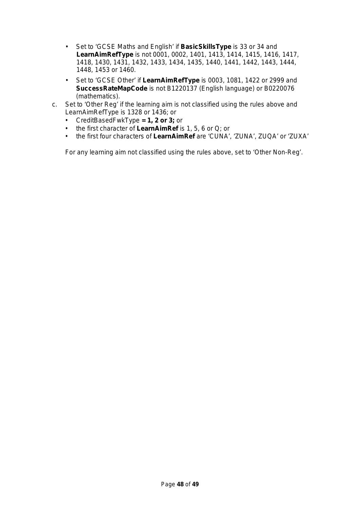- Set to 'GCSE Maths and English' if **BasicSkillsType** is 33 or 34 and **LearnAimRefType** is not 0001, 0002, 1401, 1413, 1414, 1415, 1416, 1417, 1418, 1430, 1431, 1432, 1433, 1434, 1435, 1440, 1441, 1442, 1443, 1444, 1448, 1453 or 1460.
- Set to 'GCSE Other' if **LearnAimRefType** is 0003, 1081, 1422 or 2999 and **SuccessRateMapCode** is not B1220137 (English language) or B0220076 (mathematics).
- c. Set to 'Other Reg' if the learning aim is not classified using the rules above and LearnAimRefType is 1328 or 1436; or
	- CreditBasedFwkType **= 1, 2 or 3;** or
	- the first character of **LearnAimRef** is 1, 5, 6 or Q; or
	- the first four characters of **LearnAimRef** are 'CUNA', 'ZUNA', ZUQA' or 'ZUXA'

For any learning aim not classified using the rules above, set to 'Other Non-Reg'.